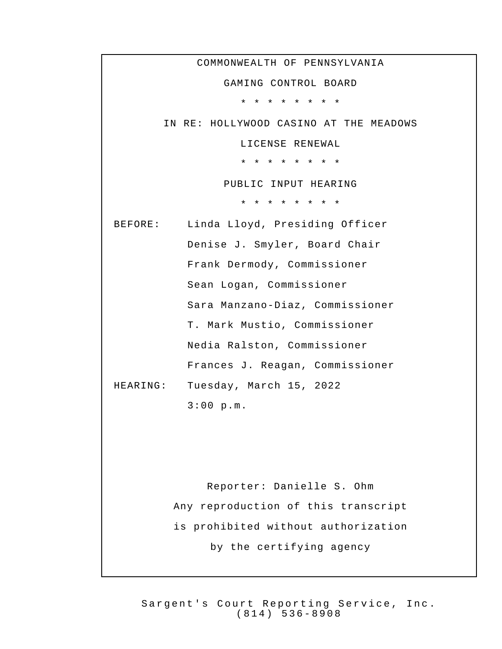COMMONWEALTH OF PENNSYLVANIA GAMING CONTROL BOARD \* \* \* \* \* \* \* \* IN RE: HOLLYWOOD CASINO AT THE MEADOWS LICENSE RENEWAL \* \* \* \* \* \* \* \* PUBLIC INPUT HEARING \* \* \* \* \* \* \* \* BEFORE: Linda Lloyd, Presiding Officer Denise J. Smyler, Board Chair Frank Dermody, Commissioner Sean Logan, Commissioner Sara Manzano-Diaz, Commissioner T. Mark Mustio, Commissioner Nedia Ralston, Commissioner Frances J. Reagan, Commissioner HEARING: Tuesday, March 15, 2022 3:00 p.m. Reporter: Danielle S. Ohm Any reproduction of this transcript is prohibited without authorization by the certifying agency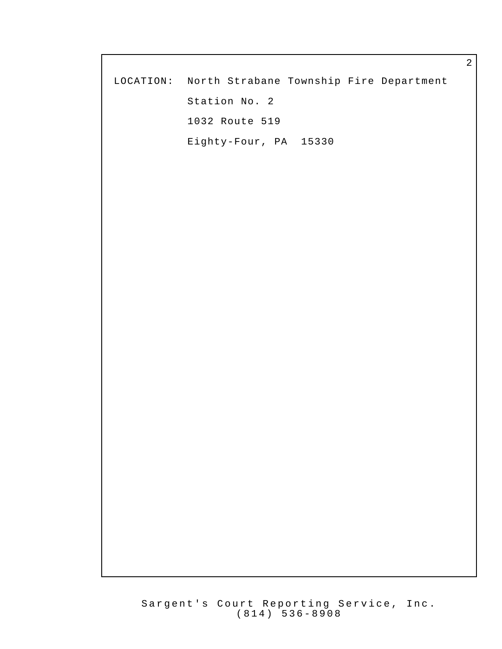|                                                   | $\overline{a}$ |
|---------------------------------------------------|----------------|
| LOCATION: North Strabane Township Fire Department |                |
| Station No. 2                                     |                |
| 1032 Route 519                                    |                |
| Eighty-Four, PA 15330                             |                |
|                                                   |                |
|                                                   |                |
|                                                   |                |
|                                                   |                |
|                                                   |                |
|                                                   |                |
|                                                   |                |
|                                                   |                |
|                                                   |                |
|                                                   |                |
|                                                   |                |
|                                                   |                |
|                                                   |                |
|                                                   |                |
|                                                   |                |
|                                                   |                |
|                                                   |                |
|                                                   |                |
|                                                   |                |
|                                                   |                |
|                                                   |                |
|                                                   |                |
|                                                   |                |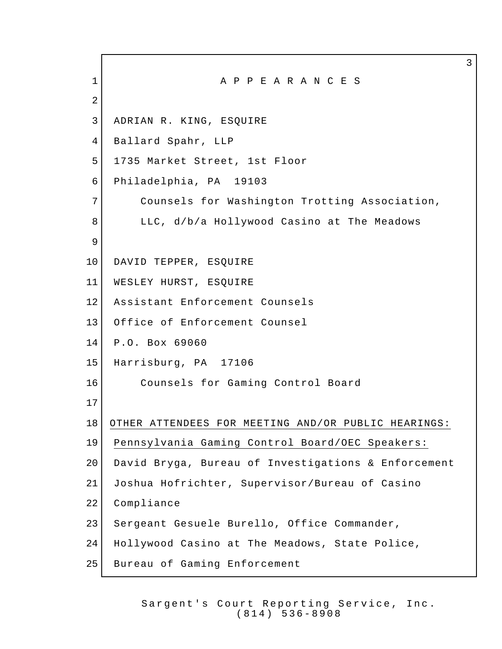1 A P P E A R A N C E S ADRIAN R. KING, ESQUIRE Ballard Spahr, LLP 1735 Market Street, 1st Floor Philadelphia, PA 19103 7 Counsels for Washington Trotting Association, 8 LLC, d/b/a Hollywood Casino at The Meadows 10 DAVID TEPPER, ESOUIRE WESLEY HURST, ESQUIRE Assistant Enforcement Counsels Office of Enforcement Counsel P.O. Box 69060 Harrisburg, PA 17106 16 Counsels for Gaming Control Board OTHER ATTENDEES FOR MEETING AND/OR PUBLIC HEARINGS: Pennsylvania Gaming Control Board/OEC Speakers: David Bryga, Bureau of Investigations & Enforcement Joshua Hofrichter, Supervisor/Bureau of Casino Compliance Sergeant Gesuele Burello, Office Commander, Hollywood Casino at The Meadows, State Police, 25 Bureau of Gaming Enforcement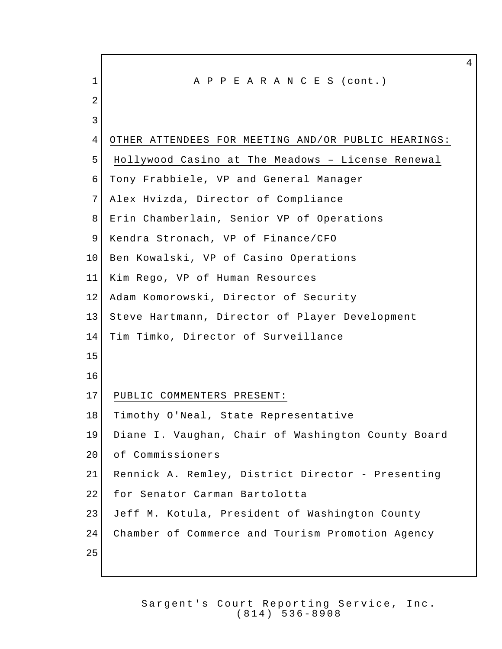1 A P P E A R A N C E S (cont.) OTHER ATTENDEES FOR MEETING AND/OR PUBLIC HEARINGS: Hollywood Casino at The Meadows – License Renewal Tony Frabbiele, VP and General Manager Alex Hvizda, Director of Compliance Erin Chamberlain, Senior VP of Operations 9 Kendra Stronach, VP of Finance/CFO Ben Kowalski, VP of Casino Operations Kim Rego, VP of Human Resources 12 Adam Komorowski, Director of Security Steve Hartmann, Director of Player Development Tim Timko, Director of Surveillance PUBLIC COMMENTERS PRESENT: 18 | Timothy O'Neal, State Representative Diane I. Vaughan, Chair of Washington County Board 20 of Commissioners Rennick A. Remley, District Director - Presenting 22 for Senator Carman Bartolotta Jeff M. Kotula, President of Washington County Chamber of Commerce and Tourism Promotion Agency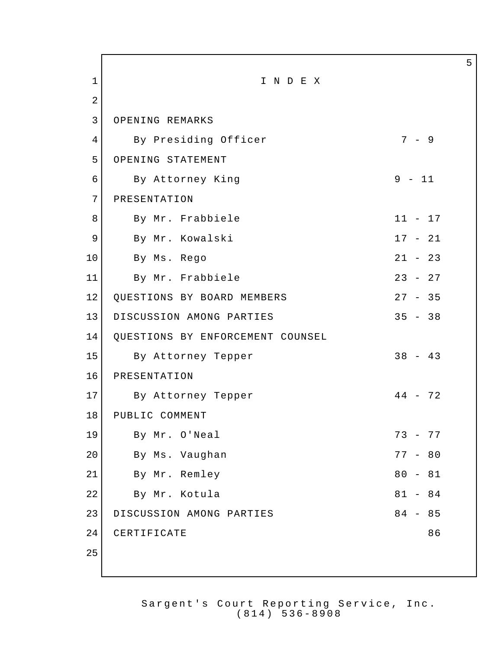1 I N D E X 2 3 OPENING REMARKS 4 By Presiding Officer 7 - 9 5 OPENING STATEMENT 6 By Attorney King 19 - 11 7 PRESENTATION 8 By Mr. Frabbiele 11 - 17 9 By Mr. Kowalski 17 - 21 10 By Ms. Rego 21 - 23 11 By Mr. Frabbiele 23 - 27 12 QUESTIONS BY BOARD MEMBERS 27 - 35 13 DISCUSSION AMONG PARTIES 35 - 38 14 QUESTIONS BY ENFORCEMENT COUNSEL 15 By Attorney Tepper 38 - 43 16 PRESENTATION 17 By Attorney Tepper 44 - 72 18 PUBLIC COMMENT 19 By Mr. O'Neal 73 - 77 20 By Ms. Vaughan 77 - 80 21 By Mr. Remley 80 - 81 22 By Mr. Kotula 81 - 84 23 DISCUSSION AMONG PARTIES 84 - 85 24 CERTIFICATE 86 25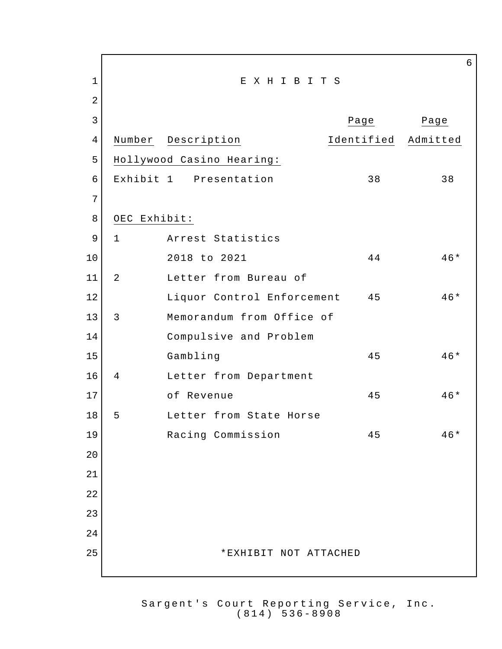| $\mathbf 1$    |                | EXHIBITS                   |            |          |
|----------------|----------------|----------------------------|------------|----------|
| $\overline{2}$ |                |                            |            |          |
| 3              |                |                            | Page       | Page     |
| $\overline{4}$ | Number         | Description                | Identified | Admitted |
| 5              |                | Hollywood Casino Hearing:  |            |          |
| 6              |                | Exhibit 1 Presentation     | 38         | 38       |
| 7              |                |                            |            |          |
| 8              | OEC Exhibit:   |                            |            |          |
| 9              | $\mathbf 1$    | Arrest Statistics          |            |          |
| 10             |                | 2018 to 2021               | 44         | $46*$    |
| 11             | $\overline{a}$ | Letter from Bureau of      |            |          |
| 12             |                | Liquor Control Enforcement | 45         | $46*$    |
| 13             | 3              | Memorandum from Office of  |            |          |
| 14             |                | Compulsive and Problem     |            |          |
| 15             |                | Gambling                   | 45         | 46*      |
| 16             | 4              | Letter from Department     |            |          |
| 17             |                | of Revenue                 | 45         | $46*$    |
| 18             | 5              | Letter from State Horse    |            |          |
| 19             |                | Racing Commission          | 45         | 46*      |
| 20             |                |                            |            |          |
| 21             |                |                            |            |          |
| 22             |                |                            |            |          |
| 23             |                |                            |            |          |
| 24             |                |                            |            |          |
| 25             |                | *EXHIBIT NOT ATTACHED      |            |          |
|                |                |                            |            |          |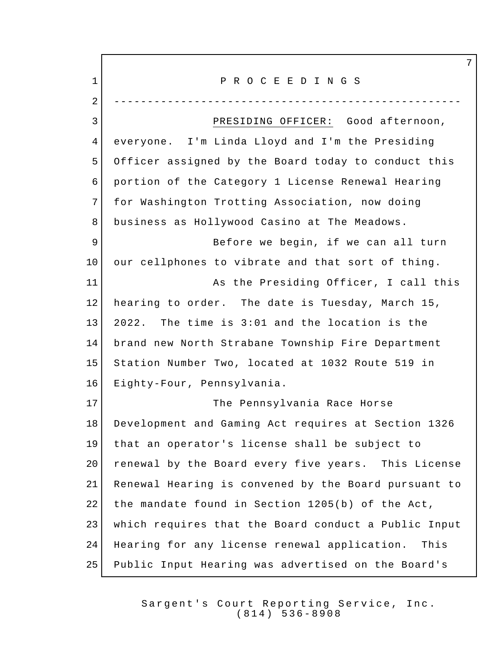1 P R O C E E D I N G S ---------------------------------------------------- PRESIDING OFFICER: Good afternoon, everyone. I'm Linda Lloyd and I'm the Presiding Officer assigned by the Board today to conduct this portion of the Category 1 License Renewal Hearing for Washington Trotting Association, now doing business as Hollywood Casino at The Meadows. 9 Before we begin, if we can all turn our cellphones to vibrate and that sort of thing. 11 as the Presiding Officer, I call this hearing to order. The date is Tuesday, March 15, 2022. The time is 3:01 and the location is the brand new North Strabane Township Fire Department Station Number Two, located at 1032 Route 519 in Eighty-Four, Pennsylvania. The Pennsylvania Race Horse Development and Gaming Act requires at Section 1326 that an operator's license shall be subject to 20 | renewal by the Board every five years. This License Renewal Hearing is convened by the Board pursuant to 22 the mandate found in Section 1205(b) of the Act, which requires that the Board conduct a Public Input Hearing for any license renewal application. This Public Input Hearing was advertised on the Board's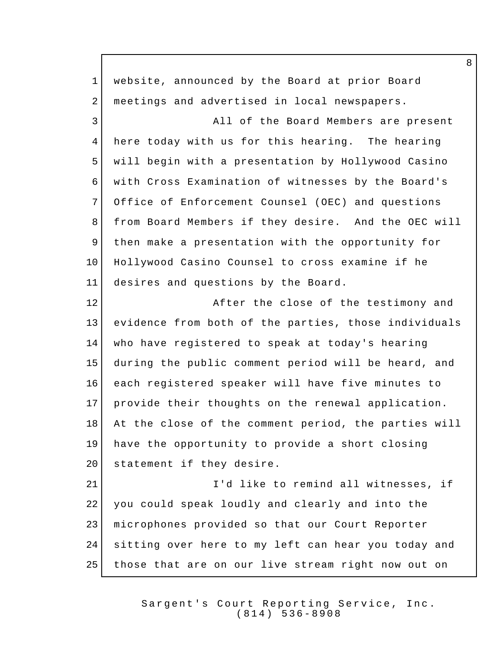website, announced by the Board at prior Board 2 | meetings and advertised in local newspapers. 3 All of the Board Members are present here today with us for this hearing. The hearing will begin with a presentation by Hollywood Casino with Cross Examination of witnesses by the Board's Office of Enforcement Counsel (OEC) and questions from Board Members if they desire. And the OEC will then make a presentation with the opportunity for Hollywood Casino Counsel to cross examine if he desires and questions by the Board. 12 After the close of the testimony and evidence from both of the parties, those individuals who have registered to speak at today's hearing during the public comment period will be heard, and each registered speaker will have five minutes to provide their thoughts on the renewal application. 18 At the close of the comment period, the parties will have the opportunity to provide a short closing 20 statement if they desire. **I'd like to remind all witnesses, if**  you could speak loudly and clearly and into the microphones provided so that our Court Reporter sitting over here to my left can hear you today and those that are on our live stream right now out on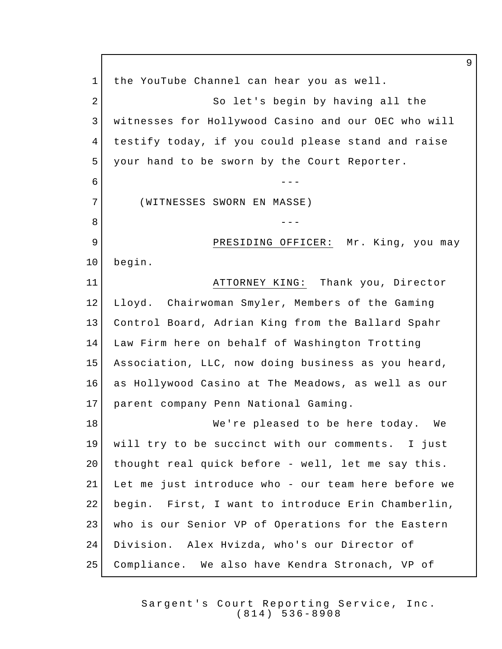1 the YouTube Channel can hear you as well. 2 So let's begin by having all the witnesses for Hollywood Casino and our OEC who will testify today, if you could please stand and raise your hand to be sworn by the Court Reporter. 6 --- <del>---</del> (WITNESSES SWORN EN MASSE) --- 9 PRESIDING OFFICER: Mr. King, you may begin. ATTORNEY KING: Thank you, Director Lloyd. Chairwoman Smyler, Members of the Gaming Control Board, Adrian King from the Ballard Spahr Law Firm here on behalf of Washington Trotting Association, LLC, now doing business as you heard, as Hollywood Casino at The Meadows, as well as our parent company Penn National Gaming. 18 We're pleased to be here today. We will try to be succinct with our comments. I just 20 | thought real quick before - well, let me say this. Let me just introduce who - our team here before we begin. First, I want to introduce Erin Chamberlin, who is our Senior VP of Operations for the Eastern Division. Alex Hvizda, who's our Director of Compliance. We also have Kendra Stronach, VP of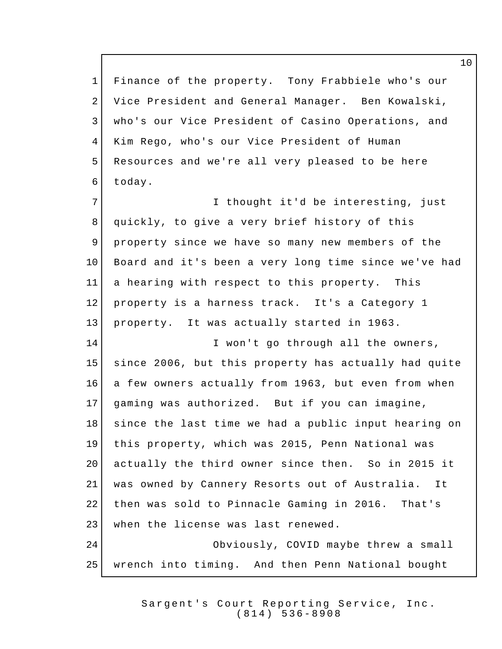Finance of the property. Tony Frabbiele who's our Vice President and General Manager. Ben Kowalski, who's our Vice President of Casino Operations, and Kim Rego, who's our Vice President of Human Resources and we're all very pleased to be here today. 7 I thought it'd be interesting, just quickly, to give a very brief history of this property since we have so many new members of the 10 Board and it's been a very long time since we've had a hearing with respect to this property. This 12 property is a harness track. It's a Category 1 property. It was actually started in 1963. 14 I won't go through all the owners, since 2006, but this property has actually had quite 16 a few owners actually from 1963, but even from when gaming was authorized. But if you can imagine, 18 since the last time we had a public input hearing on this property, which was 2015, Penn National was 20 actually the third owner since then. So in 2015 it was owned by Cannery Resorts out of Australia. It 22 then was sold to Pinnacle Gaming in 2016. That's 23 when the license was last renewed. Obviously, COVID maybe threw a small wrench into timing. And then Penn National bought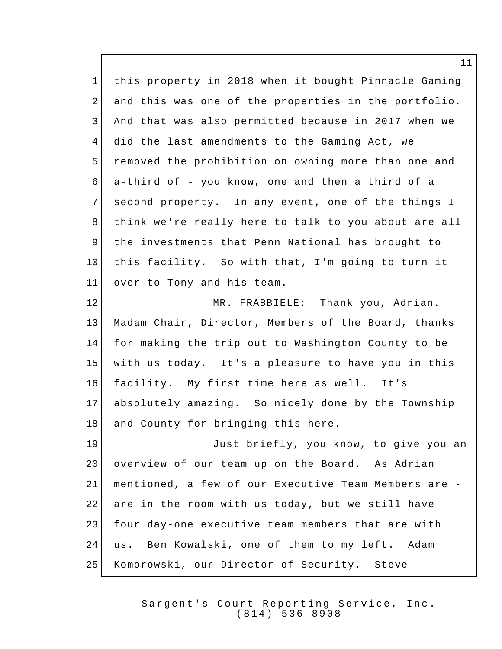this property in 2018 when it bought Pinnacle Gaming and this was one of the properties in the portfolio. And that was also permitted because in 2017 when we did the last amendments to the Gaming Act, we removed the prohibition on owning more than one and a-third of - you know, one and then a third of a 7 second property. In any event, one of the things I think we're really here to talk to you about are all the investments that Penn National has brought to this facility. So with that, I'm going to turn it over to Tony and his team. 12 MR. FRABBIELE: Thank you, Adrian. Madam Chair, Director, Members of the Board, thanks for making the trip out to Washington County to be with us today. It's a pleasure to have you in this facility. My first time here as well. It's absolutely amazing. So nicely done by the Township 18 and County for bringing this here. Just briefly, you know, to give you an 20 overview of our team up on the Board. As Adrian mentioned, a few of our Executive Team Members are - 22 are in the room with us today, but we still have four day-one executive team members that are with 24 | us. Ben Kowalski, one of them to my left. Adam Komorowski, our Director of Security. Steve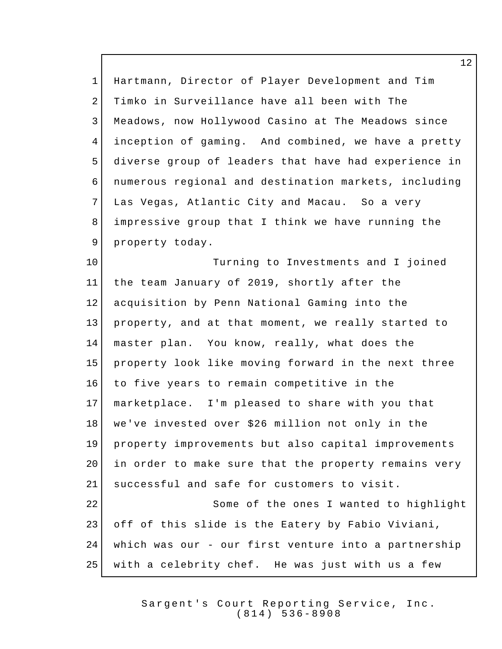Hartmann, Director of Player Development and Tim Timko in Surveillance have all been with The Meadows, now Hollywood Casino at The Meadows since inception of gaming. And combined, we have a pretty diverse group of leaders that have had experience in numerous regional and destination markets, including Las Vegas, Atlantic City and Macau. So a very impressive group that I think we have running the 9 property today. 10 Turning to Investments and I joined

 the team January of 2019, shortly after the acquisition by Penn National Gaming into the property, and at that moment, we really started to master plan. You know, really, what does the property look like moving forward in the next three to five years to remain competitive in the marketplace. I'm pleased to share with you that we've invested over \$26 million not only in the property improvements but also capital improvements 20 | in order to make sure that the property remains very successful and safe for customers to visit. Some of the ones I wanted to highlight off of this slide is the Eatery by Fabio Viviani, which was our - our first venture into a partnership with a celebrity chef. He was just with us a few

> Sargent's Court Reporting Service, Inc. (814) 536 - 8908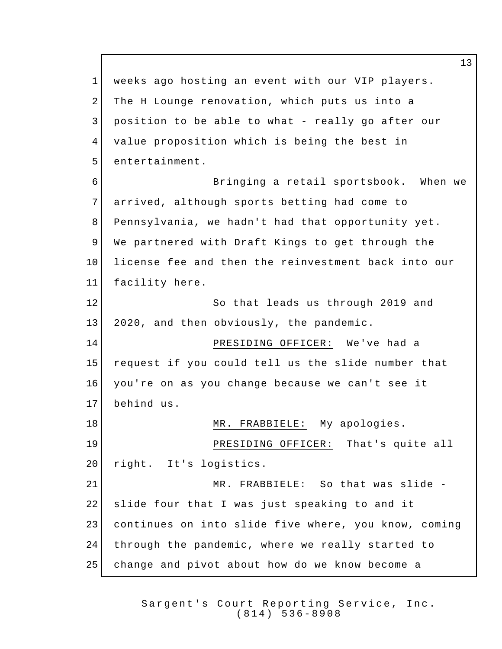weeks ago hosting an event with our VIP players. 2 The H Lounge renovation, which puts us into a position to be able to what - really go after our value proposition which is being the best in 5 entertainment. Bringing a retail sportsbook. When we arrived, although sports betting had come to Pennsylvania, we hadn't had that opportunity yet. We partnered with Draft Kings to get through the license fee and then the reinvestment back into our facility here. So that leads us through 2019 and 2020, and then obviously, the pandemic. PRESIDING OFFICER: We've had a request if you could tell us the slide number that you're on as you change because we can't see it behind us. 18 MR. FRABBIELE: My apologies. PRESIDING OFFICER: That's quite all 20 right. It's logistics. MR. FRABBIELE: So that was slide - slide four that I was just speaking to and it continues on into slide five where, you know, coming through the pandemic, where we really started to change and pivot about how do we know become a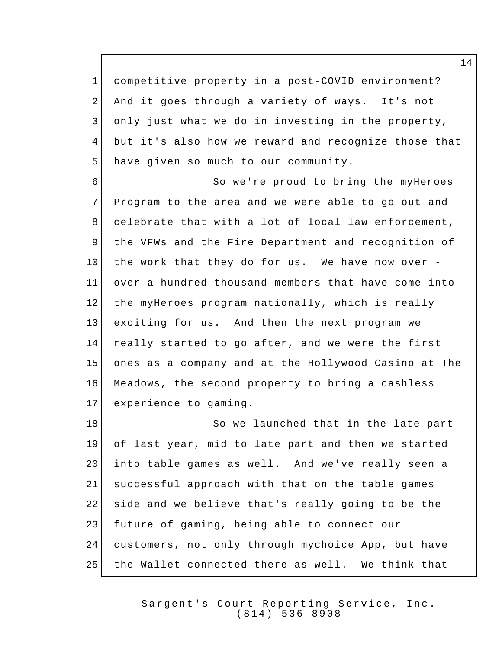competitive property in a post-COVID environment? And it goes through a variety of ways. It's not only just what we do in investing in the property, but it's also how we reward and recognize those that 5 have given so much to our community.

 So we're proud to bring the myHeroes Program to the area and we were able to go out and celebrate that with a lot of local law enforcement, the VFWs and the Fire Department and recognition of 10 the work that they do for us. We have now over - over a hundred thousand members that have come into the myHeroes program nationally, which is really exciting for us. And then the next program we really started to go after, and we were the first ones as a company and at the Hollywood Casino at The Meadows, the second property to bring a cashless experience to gaming.

18 So we launched that in the late part of last year, mid to late part and then we started into table games as well. And we've really seen a successful approach with that on the table games 22 side and we believe that's really going to be the future of gaming, being able to connect our customers, not only through mychoice App, but have the Wallet connected there as well. We think that

> Sargent's Court Reporting Service, Inc. (814) 536 - 8908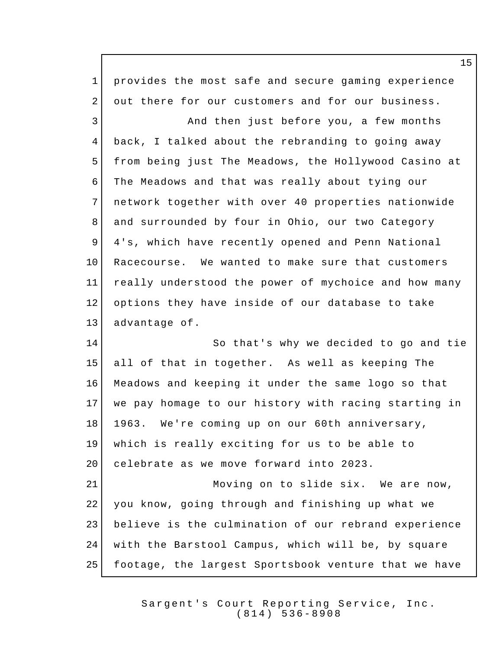provides the most safe and secure gaming experience 2 out there for our customers and for our business. 3 And then just before you, a few months back, I talked about the rebranding to going away from being just The Meadows, the Hollywood Casino at The Meadows and that was really about tying our network together with over 40 properties nationwide 8 and surrounded by four in Ohio, our two Category 9 4's, which have recently opened and Penn National Racecourse. We wanted to make sure that customers really understood the power of mychoice and how many options they have inside of our database to take 13 advantage of. So that's why we decided to go and tie all of that in together. As well as keeping The Meadows and keeping it under the same logo so that we pay homage to our history with racing starting in 1963. We're coming up on our 60th anniversary, which is really exciting for us to be able to 20 celebrate as we move forward into 2023. 21 Moving on to slide six. We are now, you know, going through and finishing up what we believe is the culmination of our rebrand experience with the Barstool Campus, which will be, by square footage, the largest Sportsbook venture that we have

> Sargent's Court Reporting Service, Inc. (814) 536 - 8908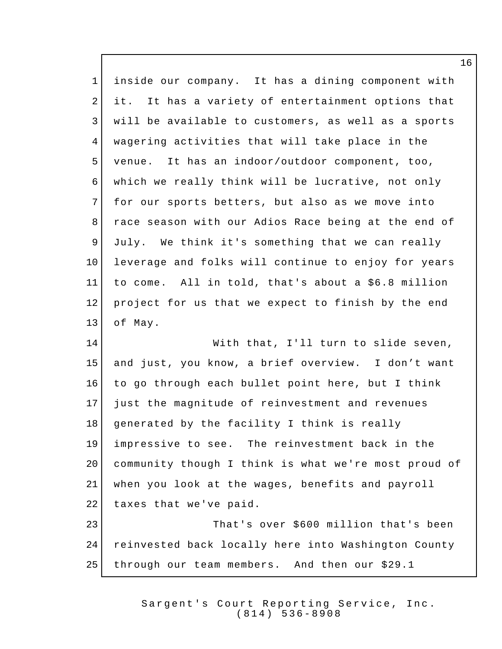| $\mathbf{1}$   | inside our company. It has a dining component with   |
|----------------|------------------------------------------------------|
| 2              | it. It has a variety of entertainment options that   |
| $\mathfrak{Z}$ | will be available to customers, as well as a sports  |
| $\overline{4}$ | wagering activities that will take place in the      |
| 5              | venue. It has an indoor/outdoor component, too,      |
| 6              | which we really think will be lucrative, not only    |
| $7\phantom{.}$ | for our sports betters, but also as we move into     |
| 8              | race season with our Adios Race being at the end of  |
| 9              | July. We think it's something that we can really     |
| 10             | leverage and folks will continue to enjoy for years  |
| 11             | to come. All in told, that's about a \$6.8 million   |
| 12             | project for us that we expect to finish by the end   |
| 13             | of May.                                              |
| 14             | With that, I'll turn to slide seven,                 |
| 15             | and just, you know, a brief overview. I don't want   |
| 16             | to go through each bullet point here, but I think    |
| 17             | just the magnitude of reinvestment and revenues      |
| 18             | generated by the facility I think is really          |
| 19             | impressive to see. The reinvestment back in the      |
| 20             | community though I think is what we're most proud of |
| 21             | when you look at the wages, benefits and payroll     |
| 22             | taxes that we've paid.                               |

 $\mathsf I$ 

23 That's over \$600 million that's been 24 reinvested back locally here into Washington County through our team members. And then our \$29.1

> Sargent's Court Reporting Service, Inc.  $(814)$  536 - 8908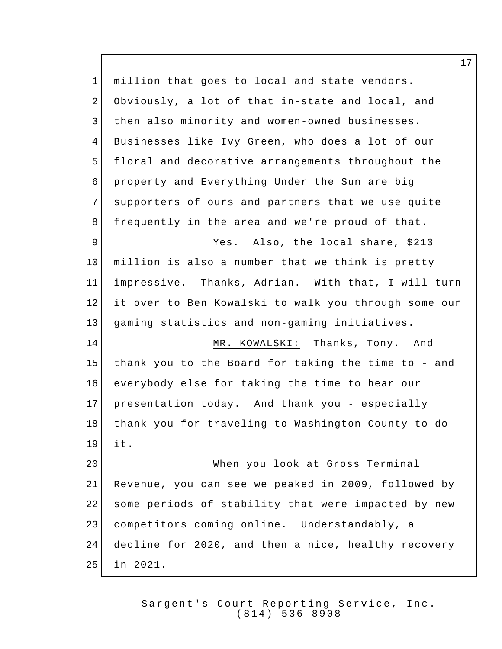million that goes to local and state vendors. Obviously, a lot of that in-state and local, and 3 | then also minority and women-owned businesses. Businesses like Ivy Green, who does a lot of our floral and decorative arrangements throughout the property and Everything Under the Sun are big 7 supporters of ours and partners that we use quite frequently in the area and we're proud of that. Yes. Also, the local share, \$213 million is also a number that we think is pretty impressive. Thanks, Adrian. With that, I will turn it over to Ben Kowalski to walk you through some our gaming statistics and non-gaming initiatives. MR. KOWALSKI: Thanks, Tony. And thank you to the Board for taking the time to - and everybody else for taking the time to hear our presentation today. And thank you - especially thank you for traveling to Washington County to do it. When you look at Gross Terminal Revenue, you can see we peaked in 2009, followed by some periods of stability that were impacted by new competitors coming online. Understandably, a decline for 2020, and then a nice, healthy recovery in 2021.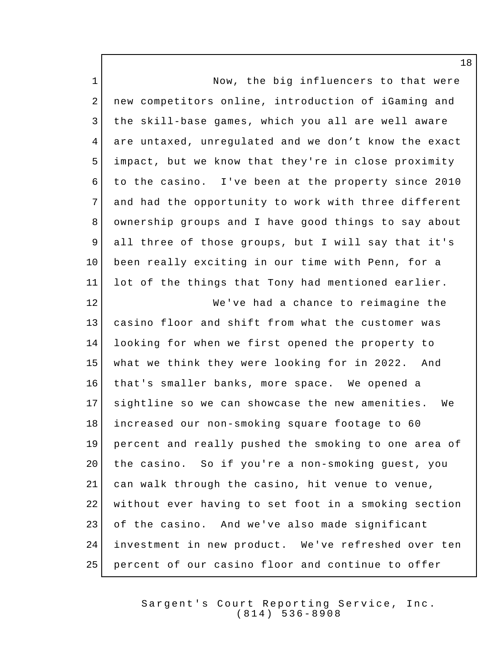1 Now, the big influencers to that were new competitors online, introduction of iGaming and the skill-base games, which you all are well aware are untaxed, unregulated and we don't know the exact impact, but we know that they're in close proximity to the casino. I've been at the property since 2010 7 and had the opportunity to work with three different ownership groups and I have good things to say about all three of those groups, but I will say that it's 10 been really exciting in our time with Penn, for a lot of the things that Tony had mentioned earlier. We've had a chance to reimagine the casino floor and shift from what the customer was looking for when we first opened the property to what we think they were looking for in 2022. And that's smaller banks, more space. We opened a sightline so we can showcase the new amenities. We increased our non-smoking square footage to 60 percent and really pushed the smoking to one area of 20 | the casino. So if you're a non-smoking guest, you can walk through the casino, hit venue to venue, 22 | without ever having to set foot in a smoking section of the casino. And we've also made significant investment in new product. We've refreshed over ten percent of our casino floor and continue to offer

> Sargent's Court Reporting Service, Inc. (814) 536 - 8908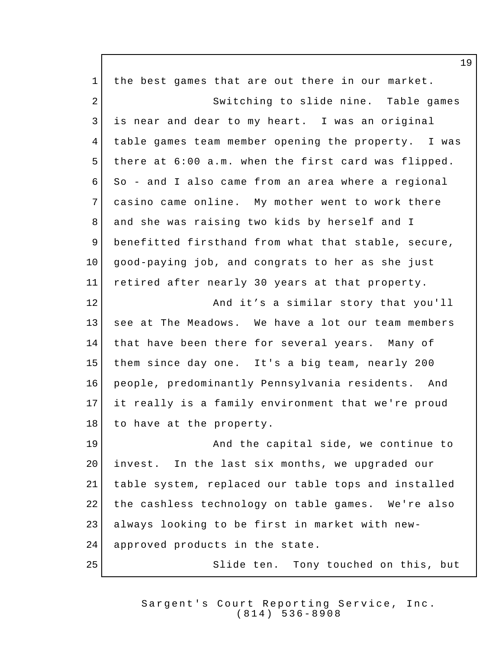1 the best games that are out there in our market. 2 Switching to slide nine. Table games is near and dear to my heart. I was an original table games team member opening the property. I was there at 6:00 a.m. when the first card was flipped. So - and I also came from an area where a regional 7 casino came online. My mother went to work there 8 and she was raising two kids by herself and I benefitted firsthand from what that stable, secure, good-paying job, and congrats to her as she just retired after nearly 30 years at that property. **And it's a similar story that you'll**  see at The Meadows. We have a lot our team members that have been there for several years. Many of them since day one. It's a big team, nearly 200 people, predominantly Pennsylvania residents. And it really is a family environment that we're proud 18 to have at the property. **And the capital side, we continue to** 20 | invest. In the last six months, we upgraded our table system, replaced our table tops and installed the cashless technology on table games. We're also always looking to be first in market with new-24 approved products in the state. Slide ten. Tony touched on this, but

> Sargent's Court Reporting Service, Inc. (814) 536 - 8908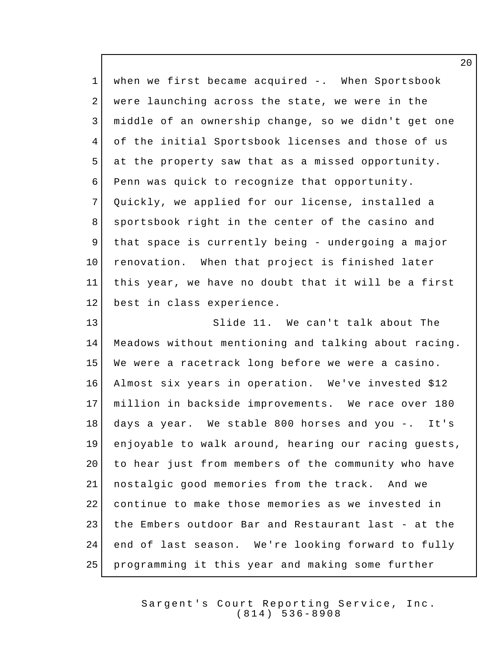1 when we first became acquired -. When Sportsbook 2 were launching across the state, we were in the middle of an ownership change, so we didn't get one of the initial Sportsbook licenses and those of us at the property saw that as a missed opportunity. Penn was quick to recognize that opportunity. Quickly, we applied for our license, installed a 8 sportsbook right in the center of the casino and 9 | that space is currently being - undergoing a major 10 renovation. When that project is finished later this year, we have no doubt that it will be a first best in class experience. Slide 11. We can't talk about The Meadows without mentioning and talking about racing. We were a racetrack long before we were a casino. Almost six years in operation. We've invested \$12 million in backside improvements. We race over 180 days a year. We stable 800 horses and you -. It's enjoyable to walk around, hearing our racing guests, to hear just from members of the community who have nostalgic good memories from the track. And we continue to make those memories as we invested in the Embers outdoor Bar and Restaurant last - at the end of last season. We're looking forward to fully programming it this year and making some further

> Sargent's Court Reporting Service, Inc. (814) 536 - 8908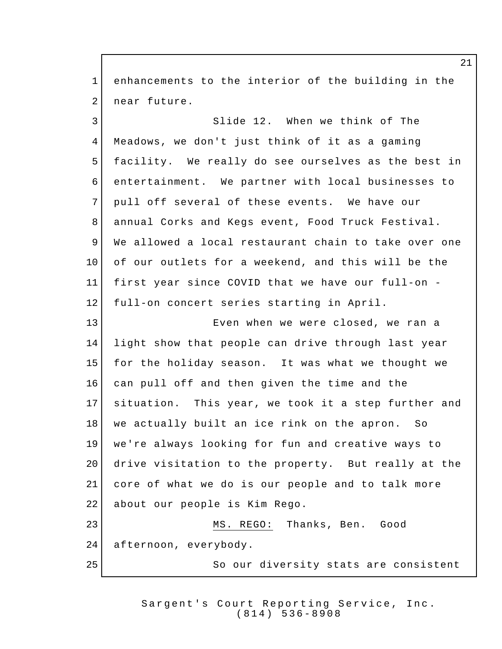enhancements to the interior of the building in the 2 near future. 3 Slide 12. When we think of The Meadows, we don't just think of it as a gaming facility. We really do see ourselves as the best in entertainment. We partner with local businesses to 7 pull off several of these events. We have our annual Corks and Kegs event, Food Truck Festival. 9 We allowed a local restaurant chain to take over one of our outlets for a weekend, and this will be the first year since COVID that we have our full-on - full-on concert series starting in April. **Exen when we were closed, we ran a**  light show that people can drive through last year for the holiday season. It was what we thought we can pull off and then given the time and the situation. This year, we took it a step further and we actually built an ice rink on the apron. So we're always looking for fun and creative ways to drive visitation to the property. But really at the core of what we do is our people and to talk more 22 about our people is Kim Rego. 23 MS. REGO: Thanks, Ben. Good 24 afternoon, everybody. 25 So our diversity stats are consistent

> Sargent's Court Reporting Service, Inc. (814) 536 - 8908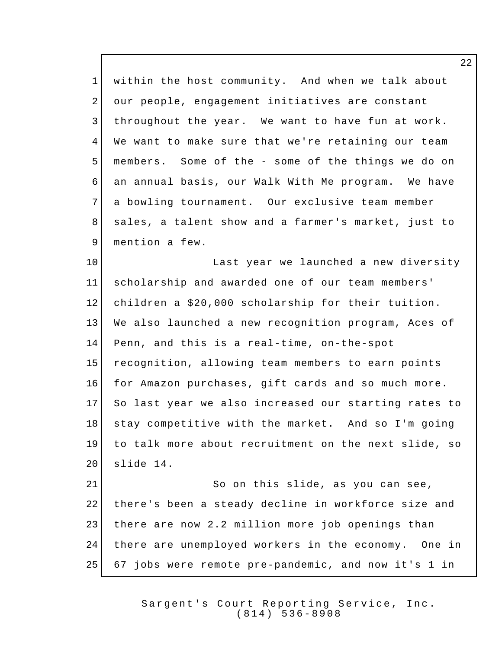within the host community. And when we talk about 2 our people, engagement initiatives are constant throughout the year. We want to have fun at work. We want to make sure that we're retaining our team members. Some of the - some of the things we do on an annual basis, our Walk With Me program. We have 7 a bowling tournament. Our exclusive team member 8 | sales, a talent show and a farmer's market, just to 9 mention a few. 10 Last year we launched a new diversity scholarship and awarded one of our team members' children a \$20,000 scholarship for their tuition. We also launched a new recognition program, Aces of Penn, and this is a real-time, on-the-spot recognition, allowing team members to earn points for Amazon purchases, gift cards and so much more. So last year we also increased our starting rates to stay competitive with the market. And so I'm going to talk more about recruitment on the next slide, so slide 14. 21 So on this slide, as you can see,

 there's been a steady decline in workforce size and 23 there are now 2.2 million more job openings than there are unemployed workers in the economy. One in 67 jobs were remote pre-pandemic, and now it's 1 in

> Sargent's Court Reporting Service, Inc. (814) 536 - 8908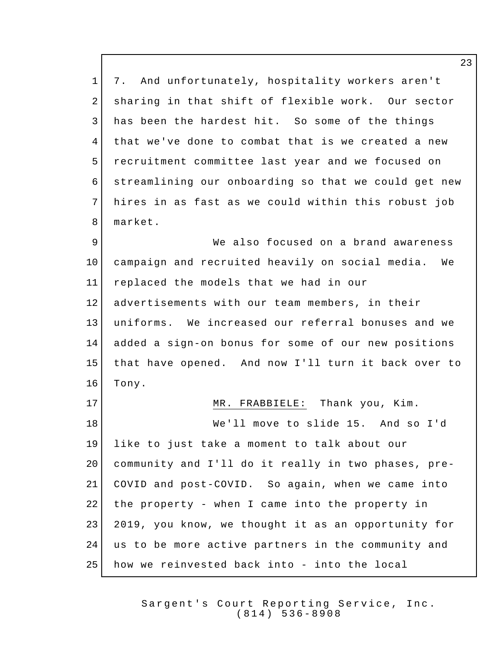1 7. And unfortunately, hospitality workers aren't 2 sharing in that shift of flexible work. Our sector has been the hardest hit. So some of the things that we've done to combat that is we created a new recruitment committee last year and we focused on streamlining our onboarding so that we could get new hires in as fast as we could within this robust job market.

 We also focused on a brand awareness campaign and recruited heavily on social media. We replaced the models that we had in our advertisements with our team members, in their uniforms. We increased our referral bonuses and we added a sign-on bonus for some of our new positions that have opened. And now I'll turn it back over to 16 Tony.

17 MR. FRABBIELE: Thank you, Kim. We'll move to slide 15. And so I'd like to just take a moment to talk about our community and I'll do it really in two phases, pre- COVID and post-COVID. So again, when we came into the property - when I came into the property in 2019, you know, we thought it as an opportunity for us to be more active partners in the community and how we reinvested back into - into the local

> Sargent's Court Reporting Service, Inc. (814) 536 - 8908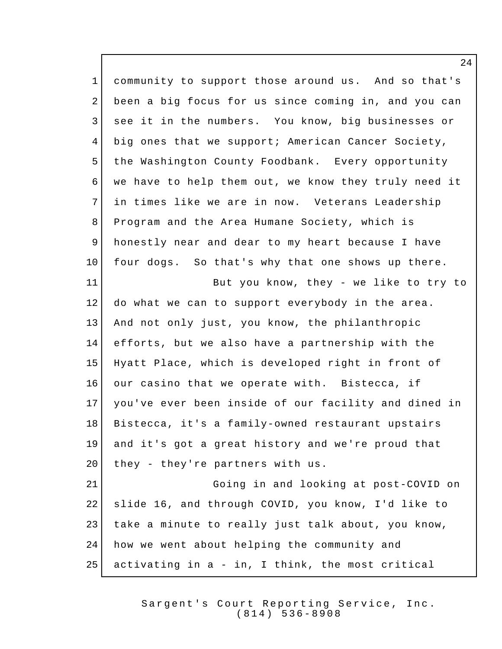community to support those around us. And so that's been a big focus for us since coming in, and you can 3 see it in the numbers. You know, big businesses or big ones that we support; American Cancer Society, the Washington County Foodbank. Every opportunity we have to help them out, we know they truly need it in times like we are in now. Veterans Leadership Program and the Area Humane Society, which is honestly near and dear to my heart because I have four dogs. So that's why that one shows up there. 11 But you know, they - we like to try to do what we can to support everybody in the area. And not only just, you know, the philanthropic efforts, but we also have a partnership with the Hyatt Place, which is developed right in front of 16 our casino that we operate with. Bistecca, if you've ever been inside of our facility and dined in Bistecca, it's a family-owned restaurant upstairs and it's got a great history and we're proud that 20 they - they're partners with us. Going in and looking at post-COVID on slide 16, and through COVID, you know, I'd like to take a minute to really just talk about, you know, how we went about helping the community and activating in a - in, I think, the most critical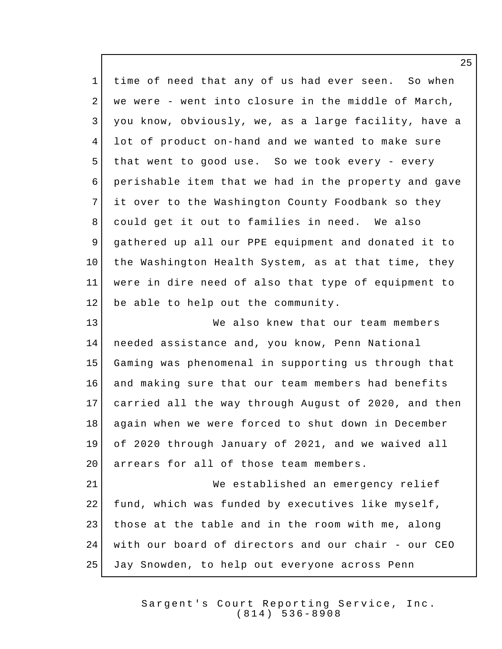1 time of need that any of us had ever seen. So when 2 we were - went into closure in the middle of March, you know, obviously, we, as a large facility, have a lot of product on-hand and we wanted to make sure that went to good use. So we took every - every perishable item that we had in the property and gave 7 it over to the Washington County Foodbank so they could get it out to families in need. We also gathered up all our PPE equipment and donated it to 10 the Washington Health System, as at that time, they were in dire need of also that type of equipment to 12 be able to help out the community. 13 We also knew that our team members needed assistance and, you know, Penn National Gaming was phenomenal in supporting us through that and making sure that our team members had benefits carried all the way through August of 2020, and then again when we were forced to shut down in December of 2020 through January of 2021, and we waived all 20 arrears for all of those team members. We established an emergency relief 22 fund, which was funded by executives like myself, 23 those at the table and in the room with me, along with our board of directors and our chair - our CEO Jay Snowden, to help out everyone across Penn

> Sargent's Court Reporting Service, Inc. (814) 536 - 8908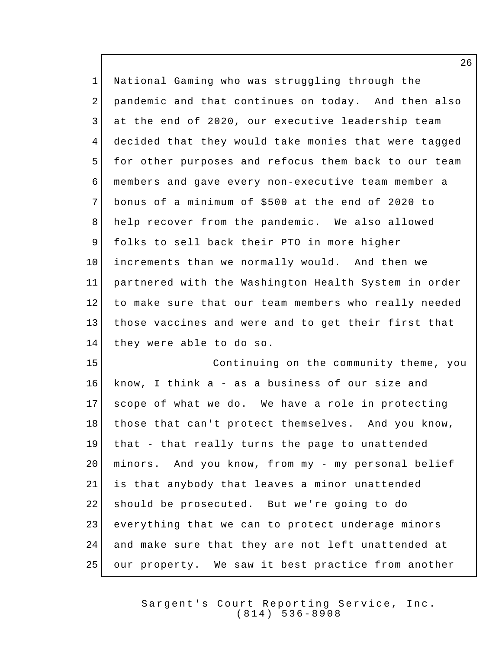National Gaming who was struggling through the pandemic and that continues on today. And then also 3 at the end of 2020, our executive leadership team decided that they would take monies that were tagged 5 for other purposes and refocus them back to our team members and gave every non-executive team member a bonus of a minimum of \$500 at the end of 2020 to help recover from the pandemic. We also allowed folks to sell back their PTO in more higher increments than we normally would. And then we partnered with the Washington Health System in order to make sure that our team members who really needed those vaccines and were and to get their first that they were able to do so. Continuing on the community theme, you know, I think a - as a business of our size and scope of what we do. We have a role in protecting 18 | those that can't protect themselves. And you know, that - that really turns the page to unattended minors. And you know, from my - my personal belief is that anybody that leaves a minor unattended should be prosecuted. But we're going to do everything that we can to protect underage minors and make sure that they are not left unattended at our property. We saw it best practice from another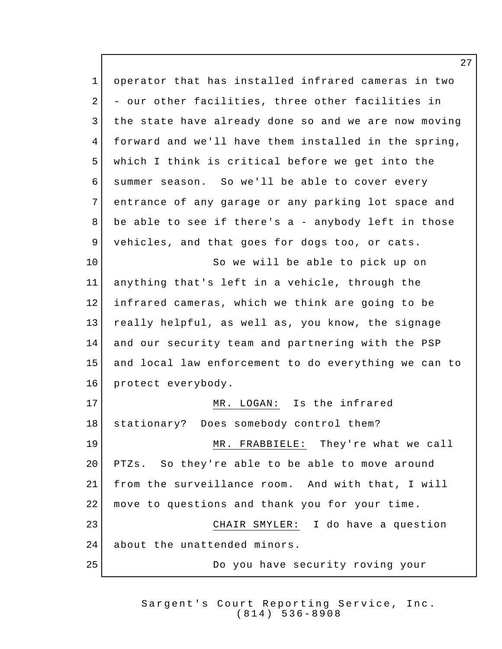operator that has installed infrared cameras in two 2 - our other facilities, three other facilities in 3 | the state have already done so and we are now moving forward and we'll have them installed in the spring, which I think is critical before we get into the summer season. So we'll be able to cover every entrance of any garage or any parking lot space and be able to see if there's a - anybody left in those vehicles, and that goes for dogs too, or cats. 10 So we will be able to pick up on anything that's left in a vehicle, through the infrared cameras, which we think are going to be really helpful, as well as, you know, the signage and our security team and partnering with the PSP and local law enforcement to do everything we can to protect everybody. 17 MR. LOGAN: Is the infrared 18 stationary? Does somebody control them? MR. FRABBIELE: They're what we call 20 PTZs. So they're able to be able to move around from the surveillance room. And with that, I will move to questions and thank you for your time. CHAIR SMYLER: I do have a question 24 about the unattended minors. Do you have security roving your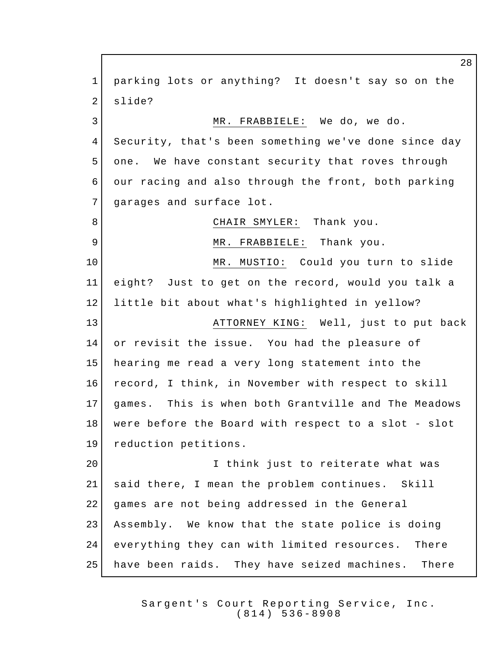parking lots or anything? It doesn't say so on the 2 slide? MR. FRABBIELE: We do, we do. Security, that's been something we've done since day one. We have constant security that roves through our racing and also through the front, both parking 7 garages and surface lot. 8 CHAIR SMYLER: Thank you. 9 MR. FRABBIELE: Thank you. MR. MUSTIO: Could you turn to slide eight? Just to get on the record, would you talk a little bit about what's highlighted in yellow? ATTORNEY KING: Well, just to put back or revisit the issue. You had the pleasure of hearing me read a very long statement into the record, I think, in November with respect to skill games. This is when both Grantville and The Meadows were before the Board with respect to a slot - slot reduction petitions. 20 I think just to reiterate what was said there, I mean the problem continues. Skill games are not being addressed in the General Assembly. We know that the state police is doing everything they can with limited resources. There have been raids. They have seized machines. There

> Sargent's Court Reporting Service, Inc. (814) 536 - 8908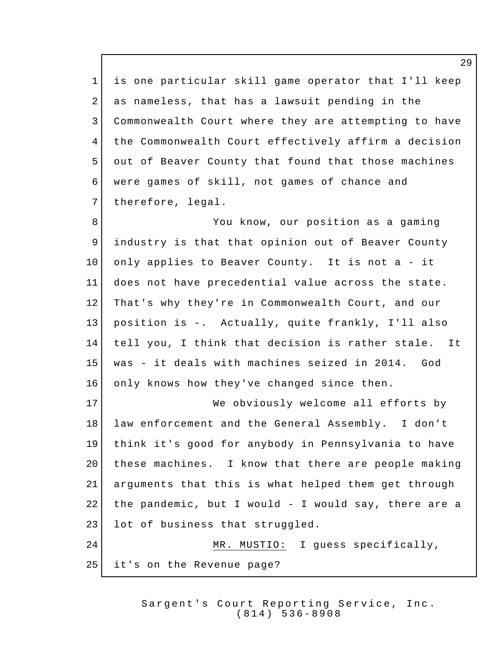is one particular skill game operator that I'll keep as nameless, that has a lawsuit pending in the Commonwealth Court where they are attempting to have 4 the Commonwealth Court effectively affirm a decision out of Beaver County that found that those machines were games of skill, not games of chance and 7 therefore, legal.

8 8 You know, our position as a gaming industry is that that opinion out of Beaver County only applies to Beaver County. It is not a - it does not have precedential value across the state. That's why they're in Commonwealth Court, and our position is -. Actually, quite frankly, I'll also tell you, I think that decision is rather stale. It was - it deals with machines seized in 2014. God 16 only knows how they've changed since then.

17 We obviously welcome all efforts by law enforcement and the General Assembly. I don't think it's good for anybody in Pennsylvania to have 20 | these machines. I know that there are people making arguments that this is what helped them get through 22 | the pandemic, but I would - I would say, there are a 23 lot of business that struggled. 24 MR. MUSTIO: I guess specifically,

it's on the Revenue page?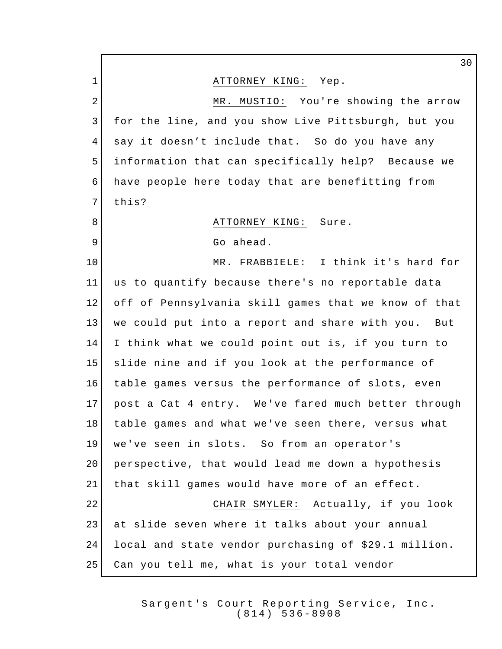1 | ATTORNEY KING: Yep. 2 MR. MUSTIO: You're showing the arrow for the line, and you show Live Pittsburgh, but you say it doesn't include that. So do you have any information that can specifically help? Because we have people here today that are benefitting from 7 this? 8 | ATTORNEY KING: Sure. 9 Go ahead. MR. FRABBIELE: I think it's hard for us to quantify because there's no reportable data off of Pennsylvania skill games that we know of that we could put into a report and share with you. But I think what we could point out is, if you turn to slide nine and if you look at the performance of table games versus the performance of slots, even post a Cat 4 entry. We've fared much better through table games and what we've seen there, versus what we've seen in slots. So from an operator's perspective, that would lead me down a hypothesis that skill games would have more of an effect. CHAIR SMYLER: Actually, if you look at slide seven where it talks about your annual local and state vendor purchasing of \$29.1 million. Can you tell me, what is your total vendor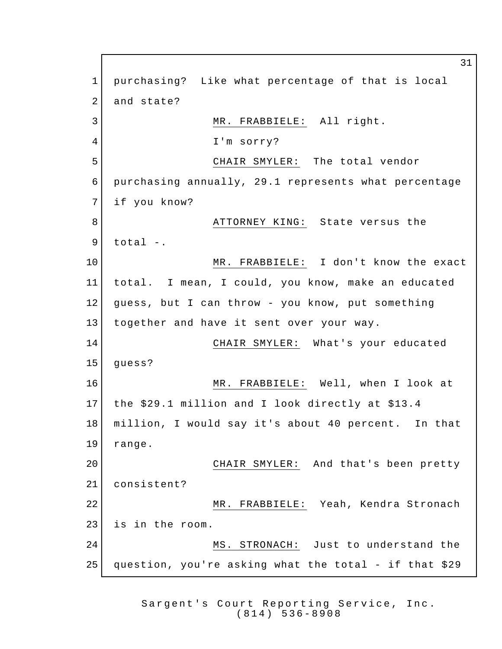purchasing? Like what percentage of that is local 2 and state? 3 MR. FRABBIELE: All right. I'm sorry? CHAIR SMYLER: The total vendor purchasing annually, 29.1 represents what percentage if you know? 8 | ATTORNEY KING: State versus the total -. MR. FRABBIELE: I don't know the exact total. I mean, I could, you know, make an educated guess, but I can throw - you know, put something together and have it sent over your way. CHAIR SMYLER: What's your educated *quess*? MR. FRABBIELE: Well, when I look at the \$29.1 million and I look directly at \$13.4 million, I would say it's about 40 percent. In that range. CHAIR SMYLER: And that's been pretty consistent? MR. FRABBIELE: Yeah, Kendra Stronach is in the room. MS. STRONACH: Just to understand the question, you're asking what the total - if that \$29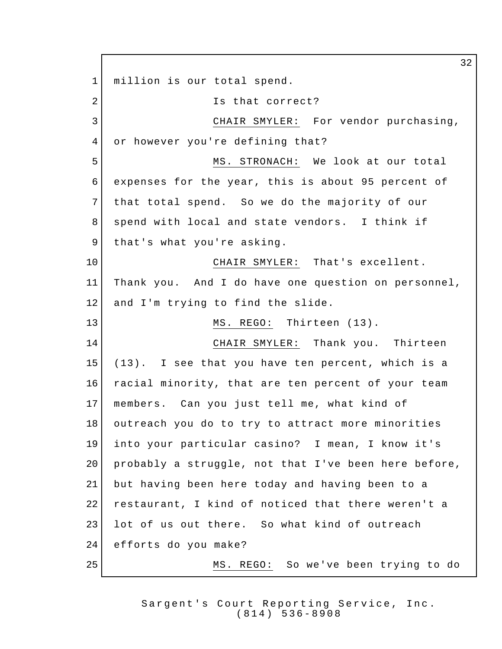32 1 million is our total spend. 2 Is that correct? 3 CHAIR SMYLER: For vendor purchasing, 4 or however you're defining that? 5 MS. STRONACH: We look at our total 6 expenses for the year, this is about 95 percent of 7 that total spend. So we do the majority of our 8 spend with local and state vendors. I think if 9 that's what you're asking. 10 CHAIR SMYLER: That's excellent. 11 Thank you. And I do have one question on personnel, 12 and I'm trying to find the slide. 13 MS. REGO: Thirteen (13). 14 CHAIR SMYLER: Thank you. Thirteen 15 (13). I see that you have ten percent, which is a 16 racial minority, that are ten percent of your team 17 members. Can you just tell me, what kind of 18 outreach you do to try to attract more minorities 19 into your particular casino? I mean, I know it's 20 probably a struggle, not that I've been here before, 21 but having been here today and having been to a 22 restaurant, I kind of noticed that there weren't a 23 | lot of us out there. So what kind of outreach 24 efforts do you make? 25 MS. REGO: So we've been trying to do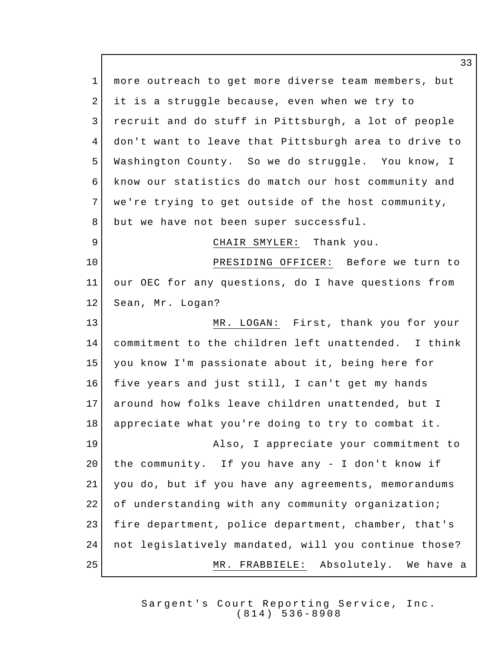more outreach to get more diverse team members, but it is a struggle because, even when we try to recruit and do stuff in Pittsburgh, a lot of people don't want to leave that Pittsburgh area to drive to Washington County. So we do struggle. You know, I know our statistics do match our host community and 7 we're trying to get outside of the host community, 8 but we have not been super successful. 9 CHAIR SMYLER: Thank you. PRESIDING OFFICER: Before we turn to our OEC for any questions, do I have questions from 12 Sean, Mr. Logan? MR. LOGAN: First, thank you for your commitment to the children left unattended. I think you know I'm passionate about it, being here for five years and just still, I can't get my hands around how folks leave children unattended, but I appreciate what you're doing to try to combat it. Also, I appreciate your commitment to 20 | the community. If you have any - I don't know if you do, but if you have any agreements, memorandums 22 of understanding with any community organization; fire department, police department, chamber, that's not legislatively mandated, will you continue those? MR. FRABBIELE: Absolutely. We have a

> Sargent's Court Reporting Service, Inc. (814) 536 - 8908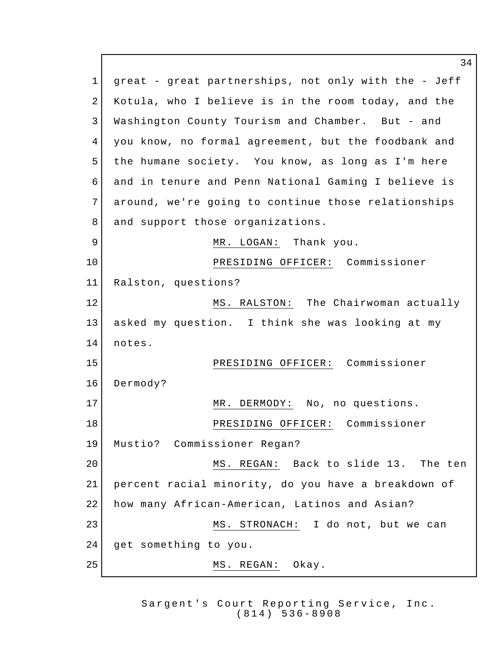1 great - great partnerships, not only with the - Jeff Kotula, who I believe is in the room today, and the Washington County Tourism and Chamber. But - and you know, no formal agreement, but the foodbank and 5 the humane society. You know, as long as I'm here and in tenure and Penn National Gaming I believe is around, we're going to continue those relationships 8 and support those organizations. 9 MR. LOGAN: Thank you. PRESIDING OFFICER: Commissioner Ralston, questions? 12 MS. RALSTON: The Chairwoman actually asked my question. I think she was looking at my 14 notes. PRESIDING OFFICER: Commissioner Dermody? 17 MR. DERMODY: No, no questions. PRESIDING OFFICER: Commissioner Mustio? Commissioner Regan? MS. REGAN: Back to slide 13. The ten percent racial minority, do you have a breakdown of how many African-American, Latinos and Asian? 23 | MS. STRONACH: I do not, but we can get something to you. 25 MS. REGAN: Okay.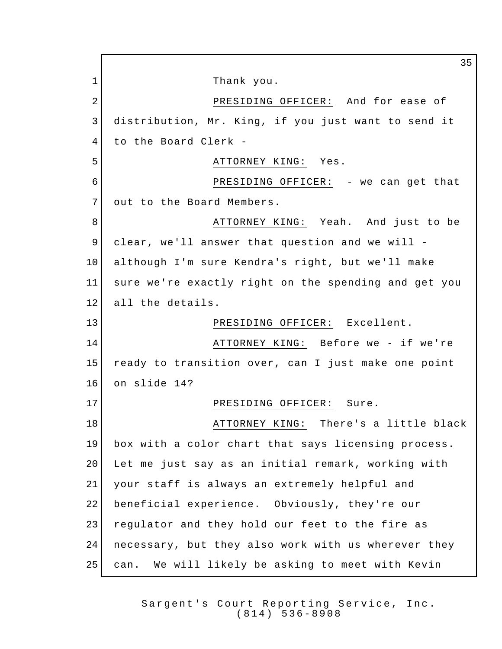1 Thank you. 2 PRESIDING OFFICER: And for ease of distribution, Mr. King, if you just want to send it to the Board Clerk - 5 ATTORNEY KING: Yes. PRESIDING OFFICER: - we can get that 7 out to the Board Members. 8 ATTORNEY KING: Yeah. And just to be clear, we'll answer that question and we will - although I'm sure Kendra's right, but we'll make sure we're exactly right on the spending and get you 12 all the details. 13 PRESIDING OFFICER: Excellent. ATTORNEY KING: Before we - if we're ready to transition over, can I just make one point on slide 14? 17 PRESIDING OFFICER: Sure. **ATTORNEY KING:** There's a little black box with a color chart that says licensing process. Let me just say as an initial remark, working with your staff is always an extremely helpful and beneficial experience. Obviously, they're our 23 regulator and they hold our feet to the fire as necessary, but they also work with us wherever they can. We will likely be asking to meet with Kevin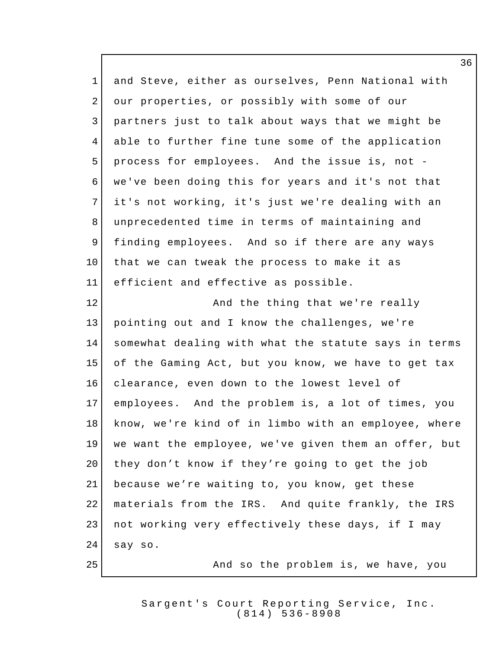and Steve, either as ourselves, Penn National with 2 our properties, or possibly with some of our partners just to talk about ways that we might be able to further fine tune some of the application process for employees. And the issue is, not - we've been doing this for years and it's not that it's not working, it's just we're dealing with an unprecedented time in terms of maintaining and finding employees. And so if there are any ways that we can tweak the process to make it as efficient and effective as possible. **And the thing that we're really**  pointing out and I know the challenges, we're somewhat dealing with what the statute says in terms of the Gaming Act, but you know, we have to get tax clearance, even down to the lowest level of employees. And the problem is, a lot of times, you know, we're kind of in limbo with an employee, where we want the employee, we've given them an offer, but 20 they don't know if they're going to get the job because we're waiting to, you know, get these 22 | materials from the IRS. And quite frankly, the IRS not working very effectively these days, if I may say so. 25 And so the problem is, we have, you

> Sargent's Court Reporting Service, Inc. (814) 536 - 8908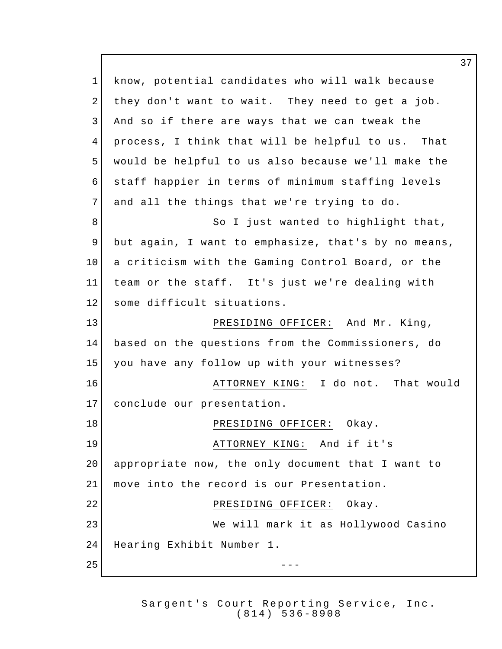know, potential candidates who will walk because 2 they don't want to wait. They need to get a job. And so if there are ways that we can tweak the process, I think that will be helpful to us. That would be helpful to us also because we'll make the staff happier in terms of minimum staffing levels 7 and all the things that we're trying to do. 8 So I just wanted to highlight that, but again, I want to emphasize, that's by no means, 10 a criticism with the Gaming Control Board, or the team or the staff. It's just we're dealing with 12 some difficult situations. PRESIDING OFFICER: And Mr. King, based on the questions from the Commissioners, do you have any follow up with your witnesses? **ATTORNEY KING:** I do not. That would conclude our presentation. 18 | PRESIDING OFFICER: Okay. 19 | **ATTORNEY KING:** And if it's appropriate now, the only document that I want to move into the record is our Presentation. 22 PRESIDING OFFICER: Okay. We will mark it as Hollywood Casino Hearing Exhibit Number 1.  $-$ 

> Sargent's Court Reporting Service, Inc. (814) 536 - 8908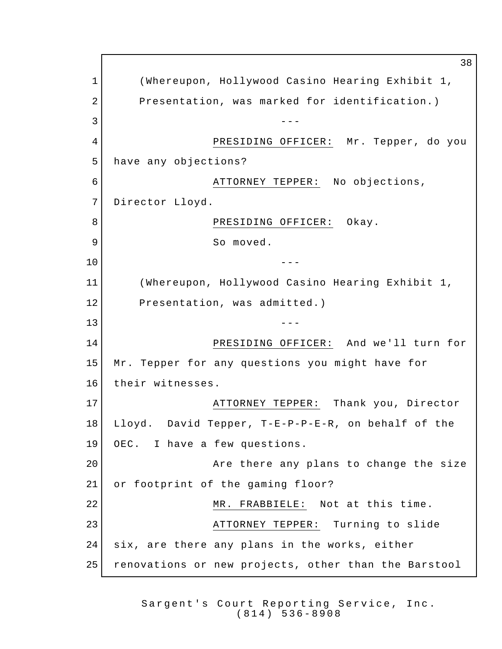38 1 (Whereupon, Hollywood Casino Hearing Exhibit 1, 2 Presentation, was marked for identification.)  $3 \left| \begin{array}{ccc} \end{array} \right|$ 4 PRESIDING OFFICER: Mr. Tepper, do you 5 have any objections? 6 ATTORNEY TEPPER: No objections, 7 Director Lloyd. 8 | RESIDING OFFICER: Okay. 9 So moved. 10 --- 11 (Whereupon, Hollywood Casino Hearing Exhibit 1, 12 Presentation, was admitted.)  $13$  ---14 PRESIDING OFFICER: And we'll turn for 15 Mr. Tepper for any questions you might have for 16 their witnesses. 17 ATTORNEY TEPPER: Thank you, Director 18 Lloyd. David Tepper, T-E-P-P-E-R, on behalf of the 19 OEC. I have a few questions. 20 **Axe there any plans to change the size** 21 or footprint of the gaming floor? 22 MR. FRABBIELE: Not at this time. 23 ATTORNEY TEPPER: Turning to slide 24 six, are there any plans in the works, either 25 renovations or new projects, other than the Barstool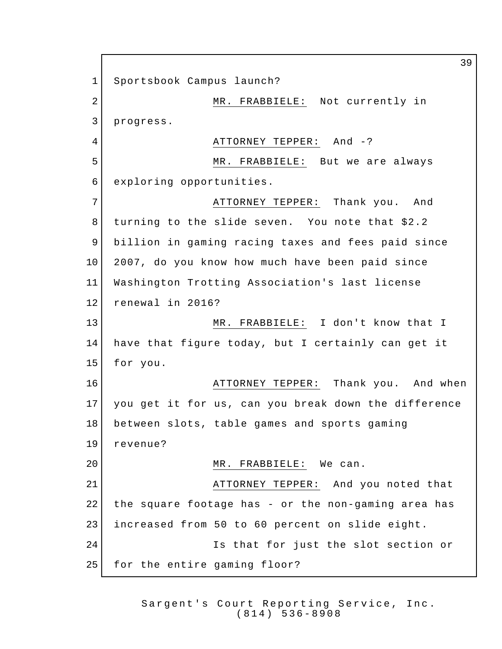Sportsbook Campus launch? 2 MR. FRABBIELE: Not currently in progress. 4 ATTORNEY TEPPER: And -? MR. FRABBIELE: But we are always exploring opportunities. 7 ATTORNEY TEPPER: Thank you. And turning to the slide seven. You note that \$2.2 billion in gaming racing taxes and fees paid since 2007, do you know how much have been paid since Washington Trotting Association's last license 12 renewal in 2016? 13 | MR. FRABBIELE: I don't know that I have that figure today, but I certainly can get it for you. **ATTORNEY TEPPER:** Thank you. And when you get it for us, can you break down the difference between slots, table games and sports gaming revenue? 20 MR. FRABBIELE: We can. 21 ATTORNEY TEPPER: And you noted that the square footage has - or the non-gaming area has increased from 50 to 60 percent on slide eight. Is that for just the slot section or 25 for the entire gaming floor?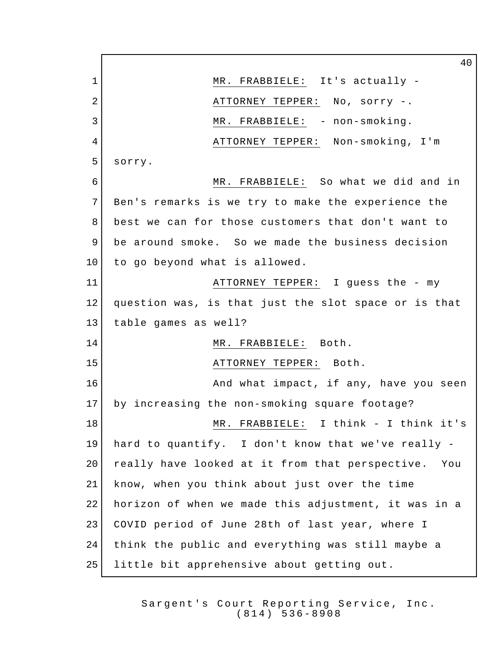1 MR. FRABBIELE: It's actually -2 ATTORNEY TEPPER: No, sorry -. 3 MR. FRABBIELE: - non-smoking. ATTORNEY TEPPER: Non-smoking, I'm sorry. MR. FRABBIELE: So what we did and in Ben's remarks is we try to make the experience the best we can for those customers that don't want to be around smoke. So we made the business decision 10 to go beyond what is allowed. ATTORNEY TEPPER: I guess the - my question was, is that just the slot space or is that table games as well? 14 MR. FRABBIELE: Both. 15 | TEPPER: Both. **And what impact, if any, have you seen**  by increasing the non-smoking square footage? 18 MR. FRABBIELE: I think - I think it's hard to quantify. I don't know that we've really - 20 really have looked at it from that perspective. You know, when you think about just over the time horizon of when we made this adjustment, it was in a COVID period of June 28th of last year, where I think the public and everything was still maybe a little bit apprehensive about getting out.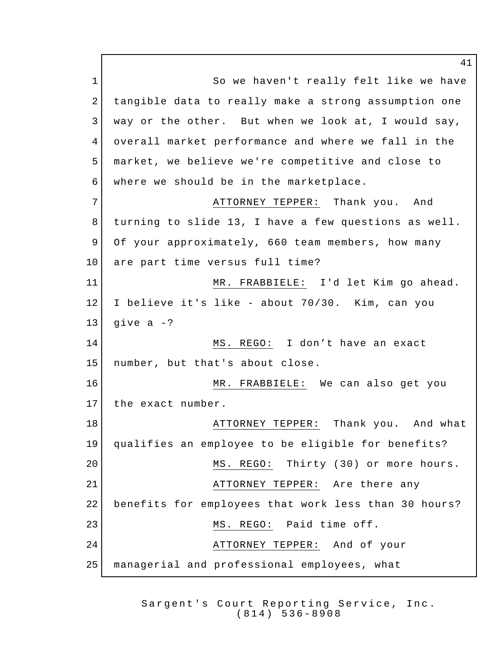1 So we haven't really felt like we have 2 tangible data to really make a strong assumption one 3 way or the other. But when we look at, I would say, 4 overall market performance and where we fall in the 5 market, we believe we're competitive and close to 6 where we should be in the marketplace. 7 ATTORNEY TEPPER: Thank you. And 8 turning to slide 13, I have a few questions as well. 9 Of your approximately, 660 team members, how many 10 are part time versus full time? 11 MR. FRABBIELE: I'd let Kim go ahead. 12 I believe it's like - about 70/30. Kim, can you 13 give a  $-?$ 14 MS. REGO: I don't have an exact 15 number, but that's about close. 16 MR. FRABBIELE: We can also get you 17 the exact number. 18 ATTORNEY TEPPER: Thank you. And what 19 qualifies an employee to be eligible for benefits? 20 MS. REGO: Thirty (30) or more hours. 21 ATTORNEY TEPPER: Are there any 22 benefits for employees that work less than 30 hours? 23 MS. REGO: Paid time off. 24 ATTORNEY TEPPER: And of your 25 managerial and professional employees, what

> Sargent's Court Reporting Service, Inc. (814) 536 - 8908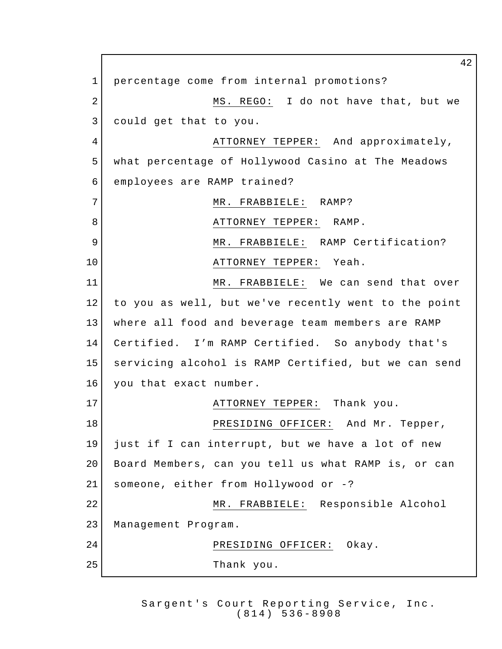percentage come from internal promotions? 2 MS. REGO: I do not have that, but we could get that to you. 4 ATTORNEY TEPPER: And approximately, what percentage of Hollywood Casino at The Meadows employees are RAMP trained? 7 MR. FRABBIELE: RAMP? ATTORNEY TEPPER: RAMP. 9 MR. FRABBIELE: RAMP Certification? 10 | THE ATTORNEY TEPPER: Yeah. MR. FRABBIELE: We can send that over to you as well, but we've recently went to the point where all food and beverage team members are RAMP Certified. I'm RAMP Certified. So anybody that's servicing alcohol is RAMP Certified, but we can send 16 you that exact number. **ATTORNEY TEPPER:** Thank you. 18 PRESIDING OFFICER: And Mr. Tepper, just if I can interrupt, but we have a lot of new Board Members, can you tell us what RAMP is, or can someone, either from Hollywood or -? MR. FRABBIELE: Responsible Alcohol Management Program. 24 PRESIDING OFFICER: Okay. Thank you.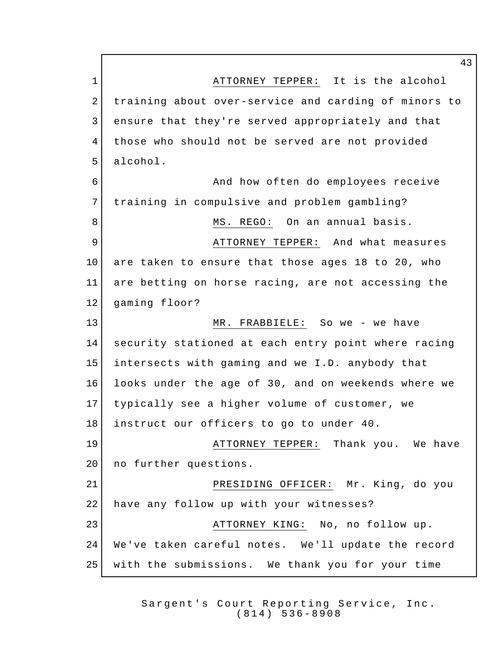**ATTORNEY TEPPER:** It is the alcohol training about over-service and carding of minors to ensure that they're served appropriately and that those who should not be served are not provided alcohol. And how often do employees receive training in compulsive and problem gambling? 8 MS. REGO: On an annual basis. ATTORNEY TEPPER: And what measures are taken to ensure that those ages 18 to 20, who are betting on horse racing, are not accessing the gaming floor? MR. FRABBIELE: So we - we have security stationed at each entry point where racing intersects with gaming and we I.D. anybody that looks under the age of 30, and on weekends where we typically see a higher volume of customer, we instruct our officers to go to under 40. **ATTORNEY TEPPER:** Thank you. We have 20 no further questions. PRESIDING OFFICER: Mr. King, do you 22 have any follow up with your witnesses? 23 | ATTORNEY KING: No, no follow up. We've taken careful notes. We'll update the record with the submissions. We thank you for your time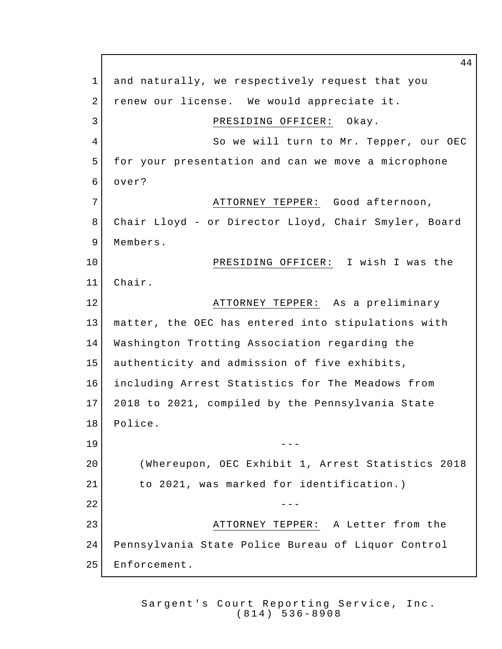and naturally, we respectively request that you 2 renew our license. We would appreciate it. 3 PRESIDING OFFICER: Okay. 4 So we will turn to Mr. Tepper, our OEC for your presentation and can we move a microphone over? 7 | ATTORNEY TEPPER: Good afternoon, Chair Lloyd - or Director Lloyd, Chair Smyler, Board 9 Members. PRESIDING OFFICER: I wish I was the Chair. **ATTORNEY TEPPER:** As a preliminary matter, the OEC has entered into stipulations with Washington Trotting Association regarding the authenticity and admission of five exhibits, including Arrest Statistics for The Meadows from 2018 to 2021, compiled by the Pennsylvania State 18 Police. --- (Whereupon, OEC Exhibit 1, Arrest Statistics 2018 to 2021, was marked for identification.)  $-$  ATTORNEY TEPPER: A Letter from the Pennsylvania State Police Bureau of Liquor Control Enforcement.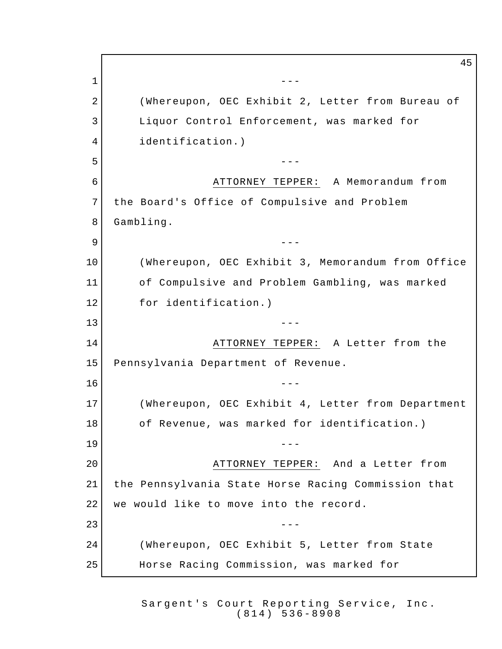--- 2 (Whereupon, OEC Exhibit 2, Letter from Bureau of 3 Liquor Control Enforcement, was marked for identification.)  $5 \vert$  ATTORNEY TEPPER: A Memorandum from 7 the Board's Office of Compulsive and Problem Gambling. --- (Whereupon, OEC Exhibit 3, Memorandum from Office of Compulsive and Problem Gambling, was marked 12 for identification.) --- ATTORNEY TEPPER: A Letter from the Pennsylvania Department of Revenue.  $-$  (Whereupon, OEC Exhibit 4, Letter from Department 18 of Revenue, was marked for identification.) --- ATTORNEY TEPPER: And a Letter from the Pennsylvania State Horse Racing Commission that 22 | we would like to move into the record.  $---$  (Whereupon, OEC Exhibit 5, Letter from State Horse Racing Commission, was marked for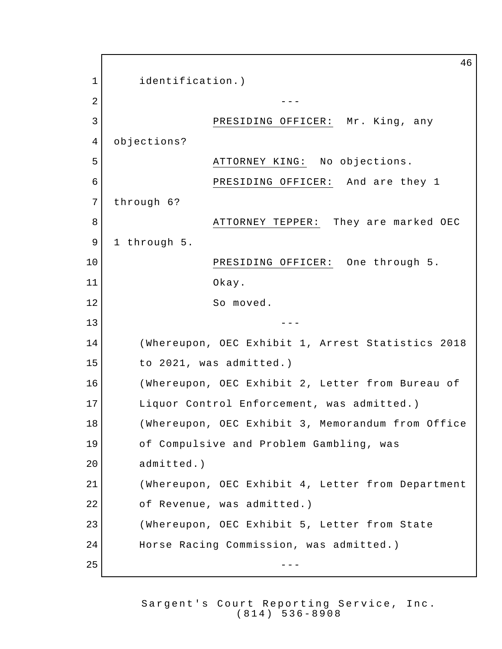46 1 identification.)  $2 \left| \right|$  ---3 PRESIDING OFFICER: Mr. King, any 4 objections? 5 ATTORNEY KING: No objections. 6 PRESIDING OFFICER: And are they 1 7 through 6? 8 | ATTORNEY TEPPER: They are marked OEC 9 1 through 5. 10 PRESIDING OFFICER: One through 5. 11 Okay. 12 So moved.  $13$  ---14 (Whereupon, OEC Exhibit 1, Arrest Statistics 2018 15 to 2021, was admitted.) 16 (Whereupon, OEC Exhibit 2, Letter from Bureau of 17 Liquor Control Enforcement, was admitted.) 18 (Whereupon, OEC Exhibit 3, Memorandum from Office 19 of Compulsive and Problem Gambling, was 20 admitted.) 21 (Whereupon, OEC Exhibit 4, Letter from Department 22 of Revenue, was admitted.) 23 (Whereupon, OEC Exhibit 5, Letter from State 24 Horse Racing Commission, was admitted.)  $25$   $-$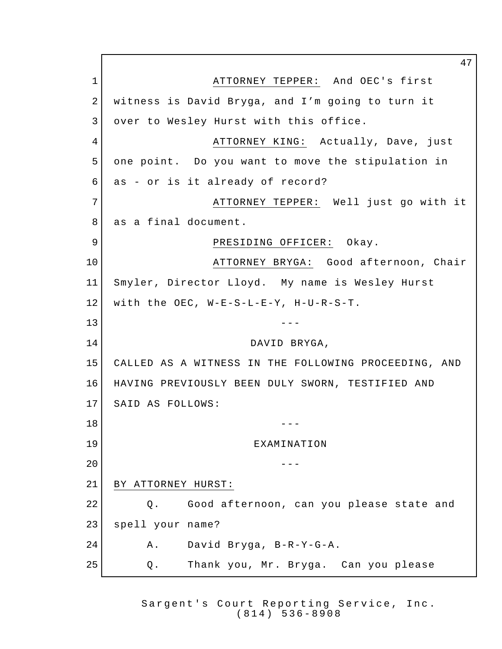1 | ATTORNEY TEPPER: And OEC's first 2 | witness is David Bryga, and I'm going to turn it 3 over to Wesley Hurst with this office. 4 ATTORNEY KING: Actually, Dave, just one point. Do you want to move the stipulation in as - or is it already of record? ATTORNEY TEPPER: Well just go with it 8 as a final document. 9 PRESIDING OFFICER: Okay. ATTORNEY BRYGA: Good afternoon, Chair Smyler, Director Lloyd. My name is Wesley Hurst with the OEC, W-E-S-L-E-Y, H-U-R-S-T. ---14 DAVID BRYGA, CALLED AS A WITNESS IN THE FOLLOWING PROCEEDING, AND HAVING PREVIOUSLY BEEN DULY SWORN, TESTIFIED AND SAID AS FOLLOWS:  $18 \begin{array}{ccc} & & & & \text{---} \end{array}$  EXAMINATION  $-$  BY ATTORNEY HURST: Q. Good afternoon, can you please state and spell your name? A. David Bryga, B-R-Y-G-A. Q. Thank you, Mr. Bryga. Can you please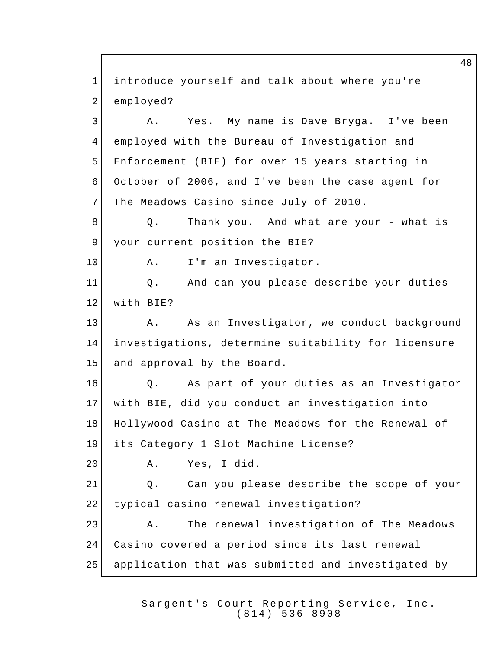1 introduce yourself and talk about where you're 2 employed? 3 A. Yes. My name is Dave Bryga. I've been 4 employed with the Bureau of Investigation and 5 Enforcement (BIE) for over 15 years starting in 6 October of 2006, and I've been the case agent for 7 The Meadows Casino since July of 2010. 8 | Q. Thank you. And what are your - what is 9 your current position the BIE? 10 A. I'm an Investigator. 11 Q. And can you please describe your duties 12 with BIE? 13 A. As an Investigator, we conduct background 14 investigations, determine suitability for licensure 15 and approval by the Board. 16 0. As part of your duties as an Investigator 17 with BIE, did you conduct an investigation into 18 Hollywood Casino at The Meadows for the Renewal of 19 its Category 1 Slot Machine License? 20 A. Yes, I did. 21 Q. Can you please describe the scope of your 22 typical casino renewal investigation? 23 A. The renewal investigation of The Meadows 24 Casino covered a period since its last renewal 25 application that was submitted and investigated by

> Sargent's Court Reporting Service, Inc. (814) 536 - 8908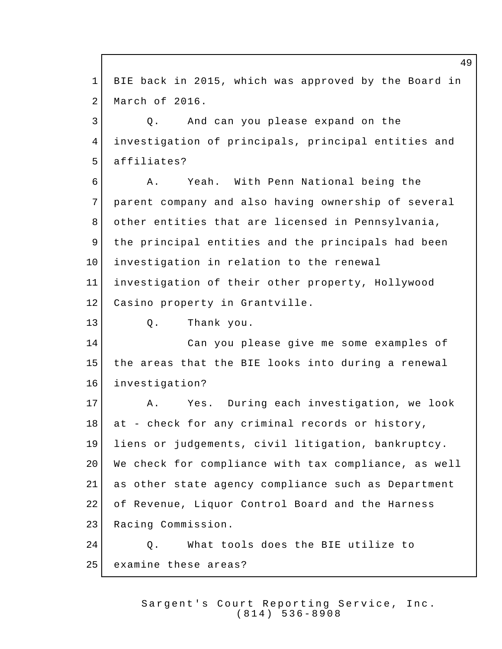1 BIE back in 2015, which was approved by the Board in 2 March of 2016. 3 3 Q. And can you please expand on the 4 investigation of principals, principal entities and 5 affiliates? 6 A. Yeah. With Penn National being the 7 parent company and also having ownership of several 8 other entities that are licensed in Pennsylvania, 9 the principal entities and the principals had been 10 investigation in relation to the renewal 11 investigation of their other property, Hollywood 12 Casino property in Grantville. 13 Q. Thank you. 14 Can you please give me some examples of 15 the areas that the BIE looks into during a renewal 16 investigation? 17 A. Yes. During each investigation, we look 18 at - check for any criminal records or history, 19 liens or judgements, civil litigation, bankruptcy. 20 We check for compliance with tax compliance, as well 21 as other state agency compliance such as Department 22 of Revenue, Liquor Control Board and the Harness 23 Racing Commission. 24 O. What tools does the BIE utilize to 25 examine these areas?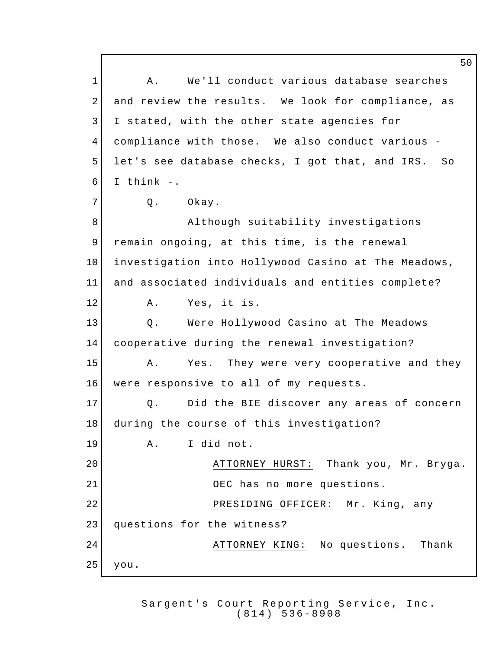1 A. We'll conduct various database searches 2 and review the results. We look for compliance, as 3 I stated, with the other state agencies for 4 compliance with those. We also conduct various - 5 let's see database checks, I got that, and IRS. So 6 I think  $-$ . 7 Q. Okay. 8 Although suitability investigations 9 remain ongoing, at this time, is the renewal 10 investigation into Hollywood Casino at The Meadows, 11 and associated individuals and entities complete? 12 A. Yes, it is. 13 | Q. Were Hollywood Casino at The Meadows 14 cooperative during the renewal investigation? 15 A. Yes. They were very cooperative and they 16 | were responsive to all of my requests. 17 O. Did the BIE discover any areas of concern 18 during the course of this investigation? 19 A. I did not. 20 ATTORNEY HURST: Thank you, Mr. Bryga. 21 OEC has no more questions. 22 | RESIDING OFFICER: Mr. King, any 23 questions for the witness? 24 ATTORNEY KING: No questions. Thank  $25$  you.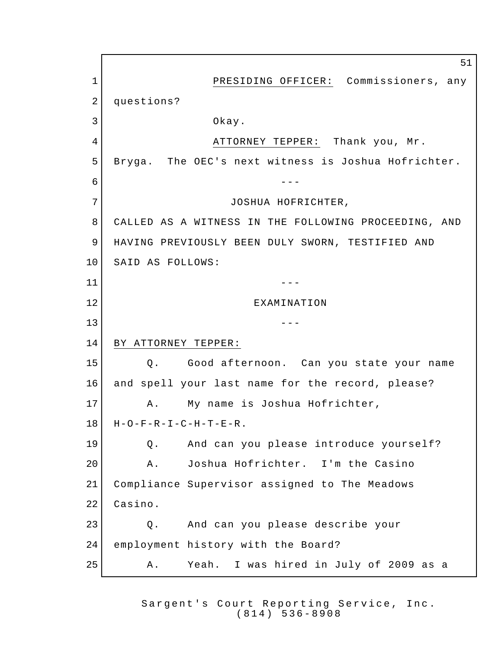PRESIDING OFFICER: Commissioners, any 2 questions? Okay. 4 ATTORNEY TEPPER: Thank you, Mr. Bryga. The OEC's next witness is Joshua Hofrichter. --- 7 JOSHUA HOFRICHTER, CALLED AS A WITNESS IN THE FOLLOWING PROCEEDING, AND HAVING PREVIOUSLY BEEN DULY SWORN, TESTIFIED AND 10 SAID AS FOLLOWS: --- EXAMINATION --- BY ATTORNEY TEPPER: Q. Good afternoon. Can you state your name and spell your last name for the record, please? 17 | A. My name is Joshua Hofrichter, H-O-F-R-I-C-H-T-E-R. Q. And can you please introduce yourself? A. Joshua Hofrichter. I'm the Casino Compliance Supervisor assigned to The Meadows Casino. Q. And can you please describe your 24 employment history with the Board? 25 A. Yeah. I was hired in July of 2009 as a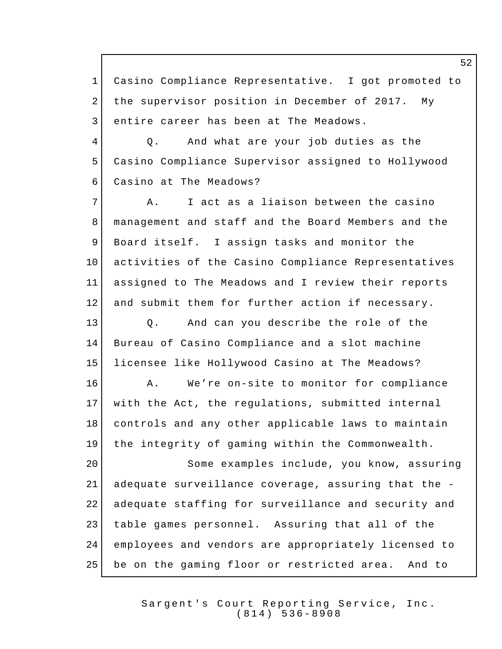Casino Compliance Representative. I got promoted to 2 the supervisor position in December of 2017. My 3 entire career has been at The Meadows. Q. And what are your job duties as the Casino Compliance Supervisor assigned to Hollywood Casino at The Meadows? 7 A. I act as a liaison between the casino 8 | management and staff and the Board Members and the Board itself. I assign tasks and monitor the activities of the Casino Compliance Representatives assigned to The Meadows and I review their reports and submit them for further action if necessary. Q. And can you describe the role of the Bureau of Casino Compliance and a slot machine licensee like Hollywood Casino at The Meadows? 16 A. We're on-site to monitor for compliance with the Act, the regulations, submitted internal 18 controls and any other applicable laws to maintain the integrity of gaming within the Commonwealth. Some examples include, you know, assuring adequate surveillance coverage, assuring that the - adequate staffing for surveillance and security and table games personnel. Assuring that all of the employees and vendors are appropriately licensed to be on the gaming floor or restricted area. And to

> Sargent's Court Reporting Service, Inc. (814) 536 - 8908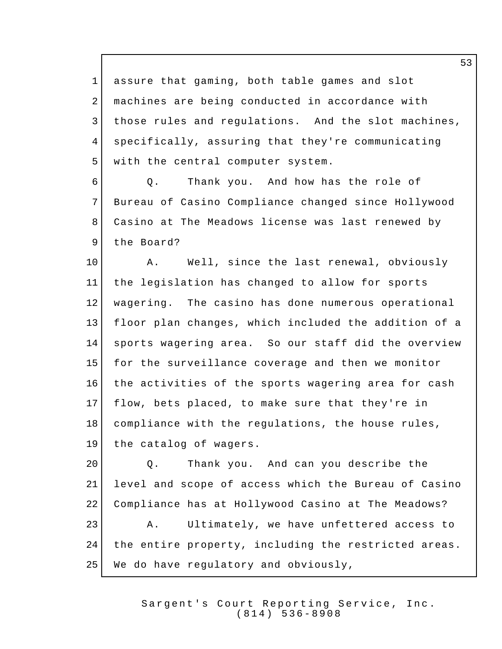assure that gaming, both table games and slot 2 | machines are being conducted in accordance with 3 | those rules and regulations. And the slot machines, specifically, assuring that they're communicating 5 with the central computer system.

6 6 Q. Thank you. And how has the role of Bureau of Casino Compliance changed since Hollywood Casino at The Meadows license was last renewed by 9 the Board?

10 A. Well, since the last renewal, obviously the legislation has changed to allow for sports wagering. The casino has done numerous operational floor plan changes, which included the addition of a sports wagering area. So our staff did the overview for the surveillance coverage and then we monitor the activities of the sports wagering area for cash flow, bets placed, to make sure that they're in 18 compliance with the regulations, the house rules, the catalog of wagers.

20 Q. Thank you. And can you describe the level and scope of access which the Bureau of Casino Compliance has at Hollywood Casino at The Meadows? A. Ultimately, we have unfettered access to the entire property, including the restricted areas. We do have regulatory and obviously,

> Sargent's Court Reporting Service, Inc. (814) 536 - 8908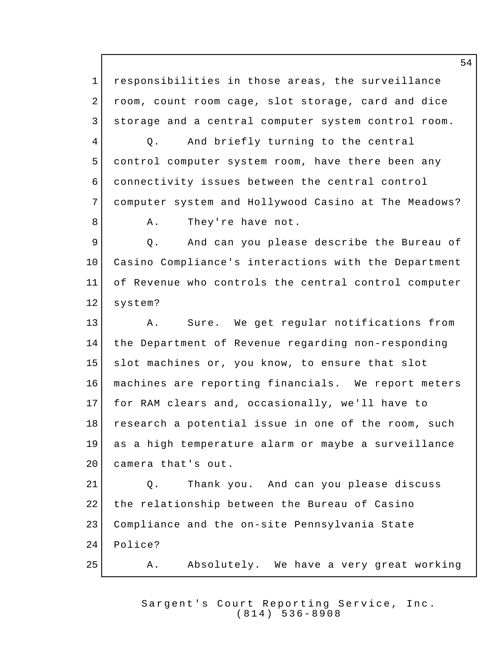1 responsibilities in those areas, the surveillance 2 room, count room cage, slot storage, card and dice 3 storage and a central computer system control room. 4 Q. And briefly turning to the central 5 control computer system room, have there been any 6 connectivity issues between the central control 7 computer system and Hollywood Casino at The Meadows? 8 A. They're have not. 9 9 Q. And can you please describe the Bureau of 10 Casino Compliance's interactions with the Department 11 of Revenue who controls the central control computer 12 system? 13 A. Sure. We get regular notifications from 14 the Department of Revenue regarding non-responding 15 slot machines or, you know, to ensure that slot 16 machines are reporting financials. We report meters 17 for RAM clears and, occasionally, we'll have to 18 research a potential issue in one of the room, such 19 as a high temperature alarm or maybe a surveillance 20 camera that's out. 21 O. Thank you. And can you please discuss 22 the relationship between the Bureau of Casino 23 Compliance and the on-site Pennsylvania State 24 Police? 25 A. Absolutely. We have a very great working

> Sargent's Court Reporting Service, Inc. (814) 536 - 8908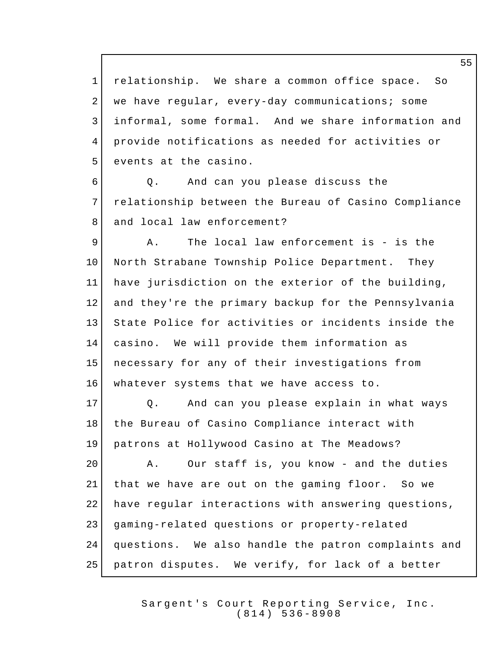relationship. We share a common office space. So 2 we have reqular, every-day communications; some informal, some formal. And we share information and provide notifications as needed for activities or 5 events at the casino.

 Q. And can you please discuss the relationship between the Bureau of Casino Compliance 8 and local law enforcement?

 A. The local law enforcement is - is the 10 North Strabane Township Police Department. They have jurisdiction on the exterior of the building, and they're the primary backup for the Pennsylvania State Police for activities or incidents inside the casino. We will provide them information as necessary for any of their investigations from 16 | whatever systems that we have access to.

 Q. And can you please explain in what ways 18 | the Bureau of Casino Compliance interact with patrons at Hollywood Casino at The Meadows?

20 A. Our staff is, you know - and the duties that we have are out on the gaming floor. So we 22 have regular interactions with answering questions, gaming-related questions or property-related questions. We also handle the patron complaints and patron disputes. We verify, for lack of a better

> Sargent's Court Reporting Service, Inc. (814) 536 - 8908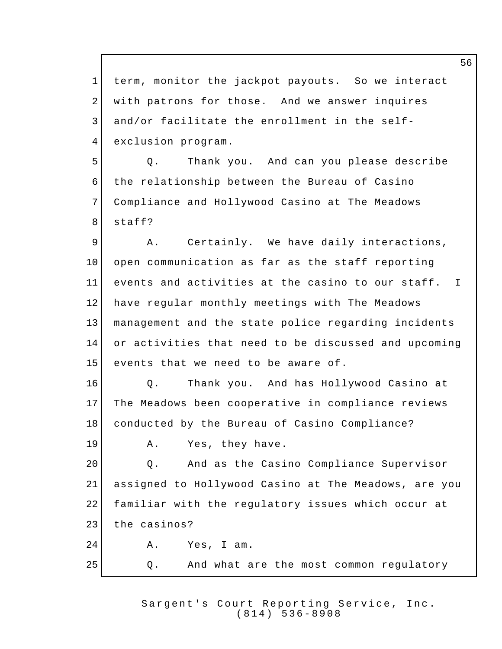term, monitor the jackpot payouts. So we interact with patrons for those. And we answer inquires and/or facilitate the enrollment in the self-exclusion program.

 Q. Thank you. And can you please describe the relationship between the Bureau of Casino Compliance and Hollywood Casino at The Meadows staff?

9 A. Certainly. We have daily interactions, open communication as far as the staff reporting events and activities at the casino to our staff. I have regular monthly meetings with The Meadows management and the state police regarding incidents or activities that need to be discussed and upcoming 15 events that we need to be aware of.

**O.** Thank you. And has Hollywood Casino at The Meadows been cooperative in compliance reviews conducted by the Bureau of Casino Compliance?

19 A. Yes, they have.

20 Q. And as the Casino Compliance Supervisor assigned to Hollywood Casino at The Meadows, are you familiar with the regulatory issues which occur at 23 the casinos? A. Yes, I am.

Q. And what are the most common regulatory

Sargent's Court Reporting Service, Inc. (814) 536 - 8908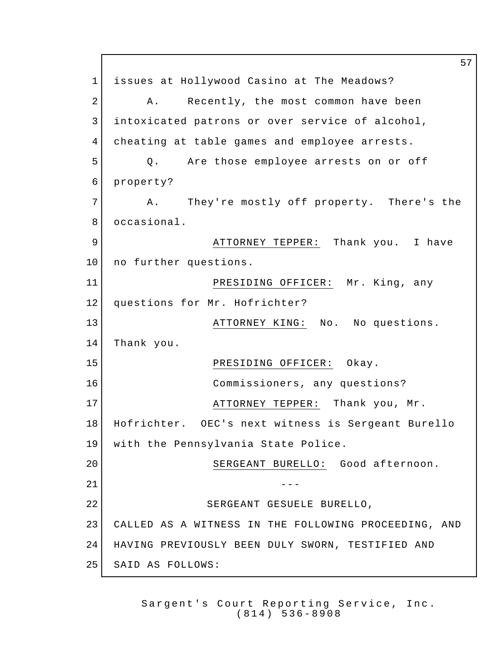57 1 issues at Hollywood Casino at The Meadows? 2 A. Recently, the most common have been 3 intoxicated patrons or over service of alcohol, 4 cheating at table games and employee arrests. 5 | Q. Are those employee arrests on or off 6 property? 7 A. They're mostly off property. There's the 8 occasional. 9 ATTORNEY TEPPER: Thank you. I have 10 no further questions. 11 PRESIDING OFFICER: Mr. King, any 12 questions for Mr. Hofrichter? 13 ATTORNEY KING: No. No questions. 14 Thank you. 15 PRESIDING OFFICER: Okay. 16 Commissioners, any questions? 17 ATTORNEY TEPPER: Thank you, Mr. 18 Hofrichter. OEC's next witness is Sergeant Burello 19 with the Pennsylvania State Police. 20 SERGEANT BURELLO: Good afternoon.  $21$   $-$ 22 SERGEANT GESUELE BURELLO, 23 CALLED AS A WITNESS IN THE FOLLOWING PROCEEDING, AND 24 HAVING PREVIOUSLY BEEN DULY SWORN, TESTIFIED AND 25 SAID AS FOLLOWS: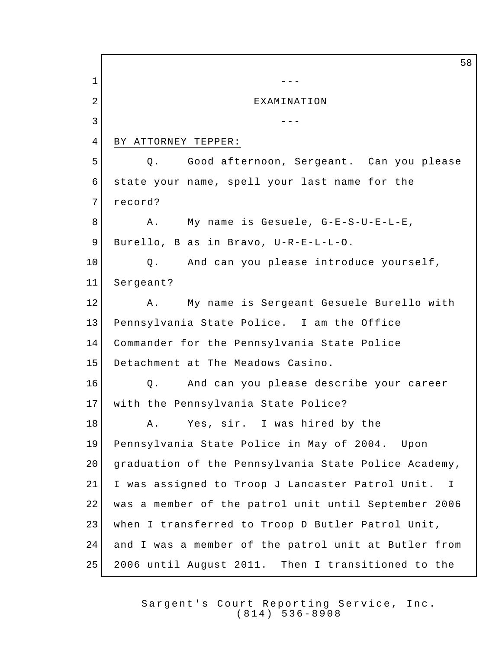58 1 --- 2 EXAMINATION  $3 \left| \begin{array}{ccc} \end{array} \right|$ 4 BY ATTORNEY TEPPER: 5 | Q. Good afternoon, Sergeant. Can you please 6 state your name, spell your last name for the 7 record? 8 A. My name is Gesuele, G-E-S-U-E-L-E, 9 Burello, B as in Bravo, U-R-E-L-L-O. 10 | Q. And can you please introduce yourself, 11 Sergeant? 12 A. My name is Sergeant Gesuele Burello with 13 Pennsylvania State Police. I am the Office 14 Commander for the Pennsylvania State Police 15 Detachment at The Meadows Casino. 16 Q. And can you please describe your career 17 with the Pennsylvania State Police? 18 A. Yes, sir. I was hired by the 19 Pennsylvania State Police in May of 2004. Upon 20 | graduation of the Pennsylvania State Police Academy, 21 I was assigned to Troop J Lancaster Patrol Unit. I 22 | was a member of the patrol unit until September 2006 23 when I transferred to Troop D Butler Patrol Unit, 24 and I was a member of the patrol unit at Butler from 25 2006 until August 2011. Then I transitioned to the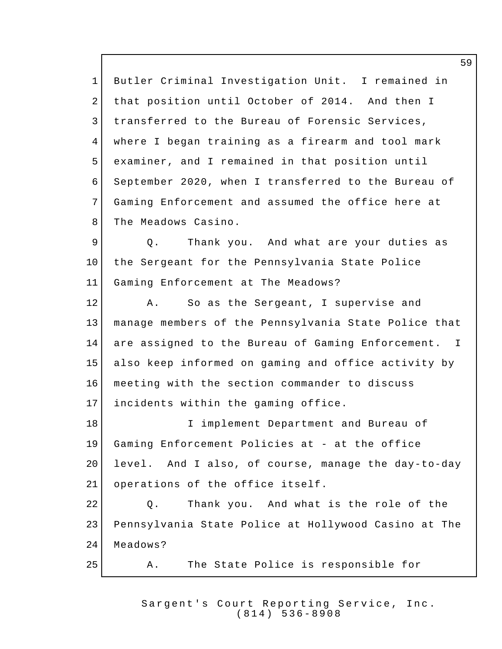Butler Criminal Investigation Unit. I remained in that position until October of 2014. And then I 3 | transferred to the Bureau of Forensic Services, where I began training as a firearm and tool mark examiner, and I remained in that position until September 2020, when I transferred to the Bureau of Gaming Enforcement and assumed the office here at 8 The Meadows Casino.

9 | Q. Thank you. And what are your duties as the Sergeant for the Pennsylvania State Police Gaming Enforcement at The Meadows?

12 A. So as the Sergeant, I supervise and manage members of the Pennsylvania State Police that are assigned to the Bureau of Gaming Enforcement. I also keep informed on gaming and office activity by meeting with the section commander to discuss 17 | incidents within the gaming office. I implement Department and Bureau of

 Gaming Enforcement Policies at - at the office level. And I also, of course, manage the day-to-day 21 operations of the office itself.

22 Q. Thank you. And what is the role of the Pennsylvania State Police at Hollywood Casino at The 24 Meadows?

A. The State Police is responsible for

Sargent's Court Reporting Service, Inc. (814) 536 - 8908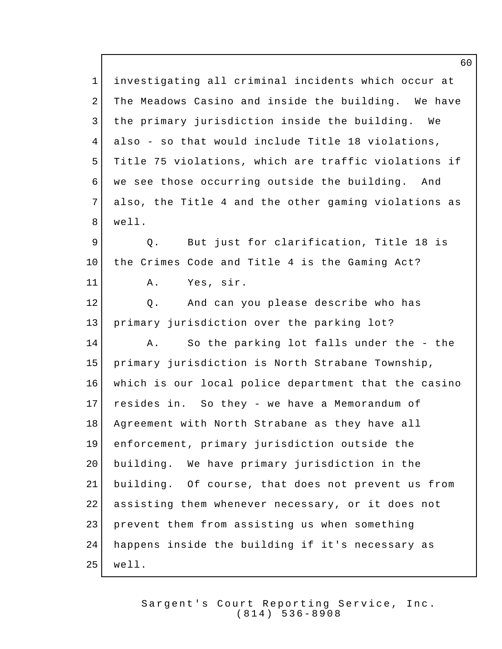investigating all criminal incidents which occur at 2 The Meadows Casino and inside the building. We have 3 the primary jurisdiction inside the building. We also - so that would include Title 18 violations, Title 75 violations, which are traffic violations if we see those occurring outside the building. And also, the Title 4 and the other gaming violations as well. 9 9 Q. But just for clarification, Title 18 is the Crimes Code and Title 4 is the Gaming Act? A. Yes, sir. 12 | Q. And can you please describe who has primary jurisdiction over the parking lot? 14 A. So the parking lot falls under the - the primary jurisdiction is North Strabane Township, which is our local police department that the casino resides in. So they - we have a Memorandum of 18 | Agreement with North Strabane as they have all enforcement, primary jurisdiction outside the building. We have primary jurisdiction in the building. Of course, that does not prevent us from assisting them whenever necessary, or it does not prevent them from assisting us when something happens inside the building if it's necessary as well.

> Sargent's Court Reporting Service, Inc. (814) 536 - 8908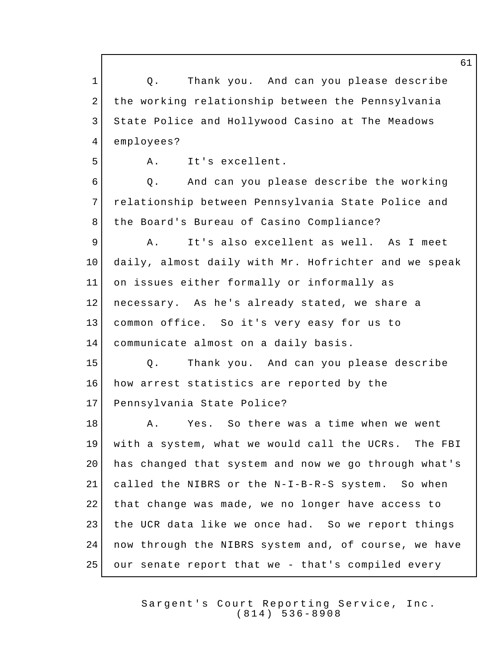**Q.** Thank you. And can you please describe the working relationship between the Pennsylvania State Police and Hollywood Casino at The Meadows employees? A. It's excellent. Q. And can you please describe the working relationship between Pennsylvania State Police and 8 | the Board's Bureau of Casino Compliance? A. It's also excellent as well. As I meet daily, almost daily with Mr. Hofrichter and we speak on issues either formally or informally as necessary. As he's already stated, we share a common office. So it's very easy for us to communicate almost on a daily basis. Q. Thank you. And can you please describe 16 how arrest statistics are reported by the Pennsylvania State Police? 18 A. Yes. So there was a time when we went with a system, what we would call the UCRs. The FBI has changed that system and now we go through what's called the NIBRS or the N-I-B-R-S system. So when that change was made, we no longer have access to the UCR data like we once had. So we report things 24 now through the NIBRS system and, of course, we have our senate report that we - that's compiled every

> Sargent's Court Reporting Service, Inc. (814) 536 - 8908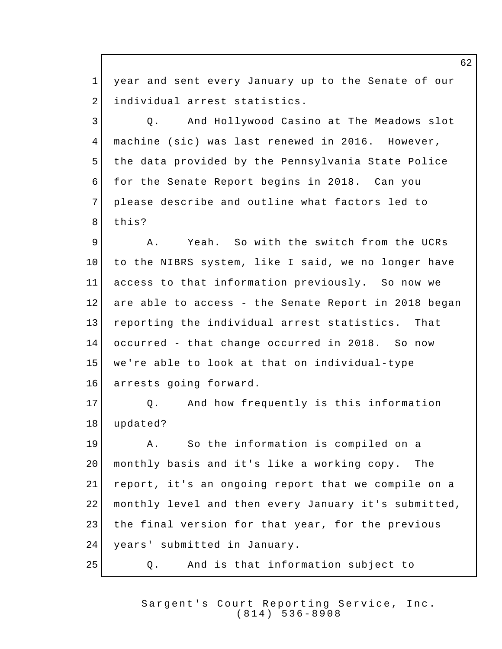year and sent every January up to the Senate of our 2 | individual arrest statistics. 3 | Q. And Hollywood Casino at The Meadows slot machine (sic) was last renewed in 2016. However, 5 the data provided by the Pennsylvania State Police for the Senate Report begins in 2018. Can you please describe and outline what factors led to 8 this? 9 A. Yeah. So with the switch from the UCRs to the NIBRS system, like I said, we no longer have access to that information previously. So now we are able to access - the Senate Report in 2018 began reporting the individual arrest statistics. That occurred - that change occurred in 2018. So now we're able to look at that on individual-type 16 arrests going forward. Q. And how frequently is this information updated? A. So the information is compiled on a monthly basis and it's like a working copy. The report, it's an ongoing report that we compile on a monthly level and then every January it's submitted, 23 | the final version for that year, for the previous years' submitted in January. Q. And is that information subject to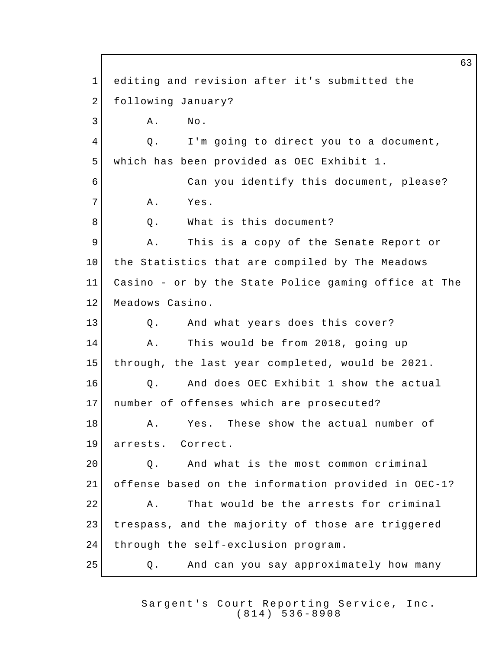63 1 editing and revision after it's submitted the 2 following January?  $3$   $A.$  No. 4 Q. I'm going to direct you to a document, 5 which has been provided as OEC Exhibit 1. 6 Can you identify this document, please? 7 A. Yes. 8 O. What is this document? 9 A. This is a copy of the Senate Report or 10 the Statistics that are compiled by The Meadows 11 Casino - or by the State Police gaming office at The 12 Meadows Casino. 13 | Q. And what years does this cover? 14 A. This would be from 2018, going up 15 through, the last year completed, would be 2021. 16 0. And does OEC Exhibit 1 show the actual 17 number of offenses which are prosecuted? 18 A. Yes. These show the actual number of 19 arrests. Correct. 20 Q. And what is the most common criminal 21 offense based on the information provided in OEC-1? 22 A. That would be the arrests for criminal 23 trespass, and the majority of those are triggered 24 through the self-exclusion program. 25 | Q. And can you say approximately how many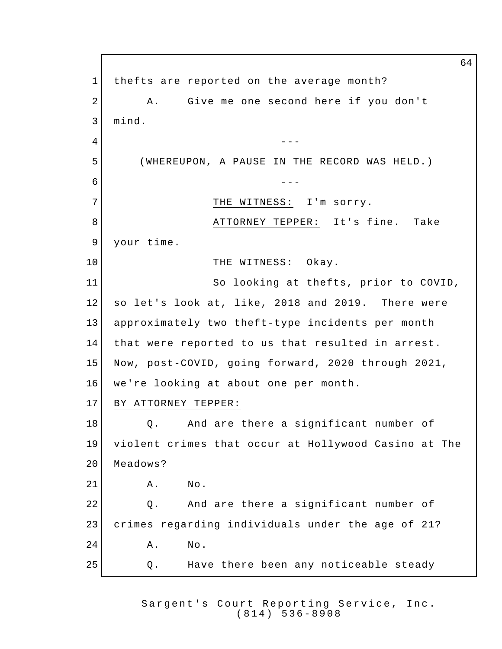64 1 thefts are reported on the average month? 2 | A. Give me one second here if you don't 3 mind.  $4 \mid$ 5 (WHEREUPON, A PAUSE IN THE RECORD WAS HELD.) 6 --- 7 THE WITNESS: I'm sorry. 8 | ATTORNEY TEPPER: It's fine. Take 9 your time. 10 THE WITNESS: Okay. 11 So looking at thefts, prior to COVID, 12 so let's look at, like, 2018 and 2019. There were 13 approximately two theft-type incidents per month 14 that were reported to us that resulted in arrest. 15 Now, post-COVID, going forward, 2020 through 2021, 16 we're looking at about one per month. 17 BY ATTORNEY TEPPER: 18 **Q.** And are there a significant number of 19 violent crimes that occur at Hollywood Casino at The 20 Meadows? 21 A. No. 22 Q. And are there a significant number of 23 crimes regarding individuals under the age of 21? 24 A. No. 25 Q. Have there been any noticeable steady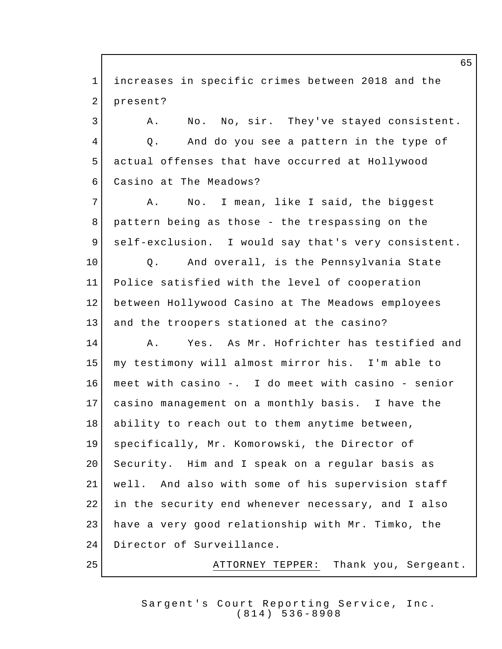increases in specific crimes between 2018 and the 2 present? 3 A. No. No, sir. They've stayed consistent. 4 Q. And do you see a pattern in the type of actual offenses that have occurred at Hollywood Casino at The Meadows? 7 A. No. I mean, like I said, the biggest pattern being as those - the trespassing on the self-exclusion. I would say that's very consistent. 10 | Q. And overall, is the Pennsylvania State Police satisfied with the level of cooperation between Hollywood Casino at The Meadows employees 13 and the troopers stationed at the casino? A. Yes. As Mr. Hofrichter has testified and my testimony will almost mirror his. I'm able to meet with casino -. I do meet with casino - senior casino management on a monthly basis. I have the 18 ability to reach out to them anytime between, specifically, Mr. Komorowski, the Director of 20 Security. Him and I speak on a regular basis as well. And also with some of his supervision staff in the security end whenever necessary, and I also have a very good relationship with Mr. Timko, the 24 Director of Surveillance. ATTORNEY TEPPER: Thank you, Sergeant.

> Sargent's Court Reporting Service, Inc. (814) 536 - 8908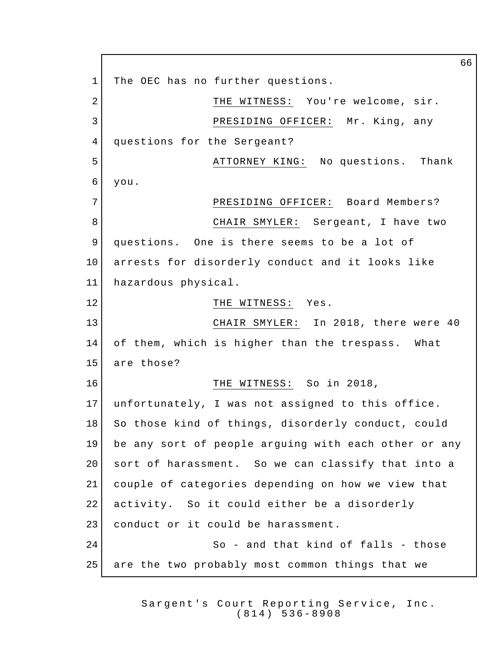66 1 The OEC has no further questions. 2 THE WITNESS: You're welcome, sir. 3 PRESIDING OFFICER: Mr. King, any 4 questions for the Sergeant? 5 ATTORNEY KING: No questions. Thank 6 you. 7 PRESIDING OFFICER: Board Members? 8 CHAIR SMYLER: Sergeant, I have two 9 questions. One is there seems to be a lot of 10 arrests for disorderly conduct and it looks like 11 hazardous physical. 12 THE WITNESS: Yes. 13 CHAIR SMYLER: In 2018, there were 40 14 of them, which is higher than the trespass. What 15 are those? 16 THE WITNESS: So in 2018, 17 unfortunately, I was not assigned to this office. 18 So those kind of things, disorderly conduct, could 19 be any sort of people arguing with each other or any 20 sort of harassment. So we can classify that into a 21 couple of categories depending on how we view that 22 activity. So it could either be a disorderly 23 conduct or it could be harassment. 24 So - and that kind of falls - those 25 are the two probably most common things that we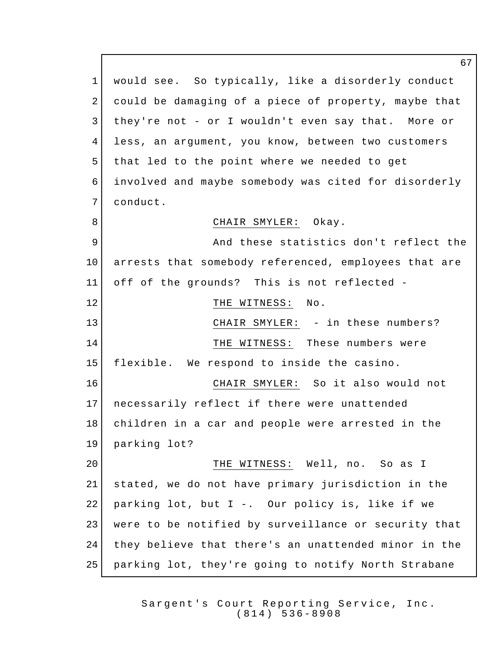would see. So typically, like a disorderly conduct could be damaging of a piece of property, maybe that they're not - or I wouldn't even say that. More or less, an argument, you know, between two customers 5 that led to the point where we needed to get involved and maybe somebody was cited for disorderly conduct. 8 CHAIR SMYLER: Okay. 9 And these statistics don't reflect the arrests that somebody referenced, employees that are off of the grounds? This is not reflected - 12 THE WITNESS: No. 13 | CHAIR SMYLER: - in these numbers? 14 THE WITNESS: These numbers were flexible. We respond to inside the casino. CHAIR SMYLER: So it also would not necessarily reflect if there were unattended children in a car and people were arrested in the parking lot? 20 | THE WITNESS: Well, no. So as I stated, we do not have primary jurisdiction in the parking lot, but I -. Our policy is, like if we were to be notified by surveillance or security that they believe that there's an unattended minor in the parking lot, they're going to notify North Strabane

> Sargent's Court Reporting Service, Inc. (814) 536 - 8908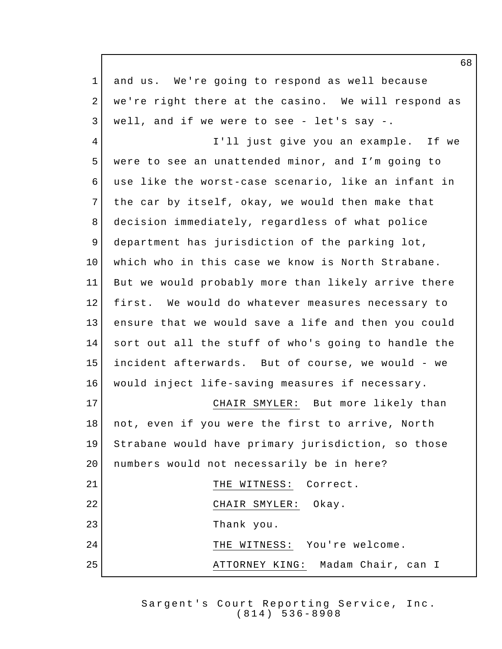and us. We're going to respond as well because 2 | we're right there at the casino. We will respond as well, and if we were to see - let's say -. 4 I'll just give you an example. If we were to see an unattended minor, and I'm going to use like the worst-case scenario, like an infant in 7 the car by itself, okay, we would then make that decision immediately, regardless of what police department has jurisdiction of the parking lot, which who in this case we know is North Strabane. But we would probably more than likely arrive there first. We would do whatever measures necessary to ensure that we would save a life and then you could sort out all the stuff of who's going to handle the incident afterwards. But of course, we would - we would inject life-saving measures if necessary. CHAIR SMYLER: But more likely than not, even if you were the first to arrive, North Strabane would have primary jurisdiction, so those 20 | numbers would not necessarily be in here? 21 THE WITNESS: Correct. 22 CHAIR SMYLER: Okay. Thank you. 24 THE WITNESS: You're welcome. 25 ATTORNEY KING: Madam Chair, can I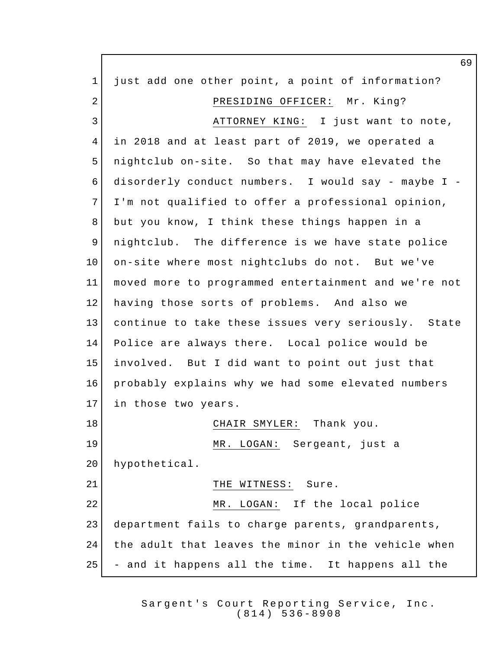just add one other point, a point of information? 2 PRESIDING OFFICER: Mr. King? 3 ATTORNEY KING: I just want to note, in 2018 and at least part of 2019, we operated a nightclub on-site. So that may have elevated the disorderly conduct numbers. I would say - maybe I - 7 I'm not qualified to offer a professional opinion, but you know, I think these things happen in a nightclub. The difference is we have state police on-site where most nightclubs do not. But we've moved more to programmed entertainment and we're not having those sorts of problems. And also we continue to take these issues very seriously. State Police are always there. Local police would be involved. But I did want to point out just that probably explains why we had some elevated numbers 17 in those two years. 18 | CHAIR SMYLER: Thank you. MR. LOGAN: Sergeant, just a hypothetical. 21 THE WITNESS: Sure. 22 MR. LOGAN: If the local police department fails to charge parents, grandparents, 24 | the adult that leaves the minor in the vehicle when - and it happens all the time. It happens all the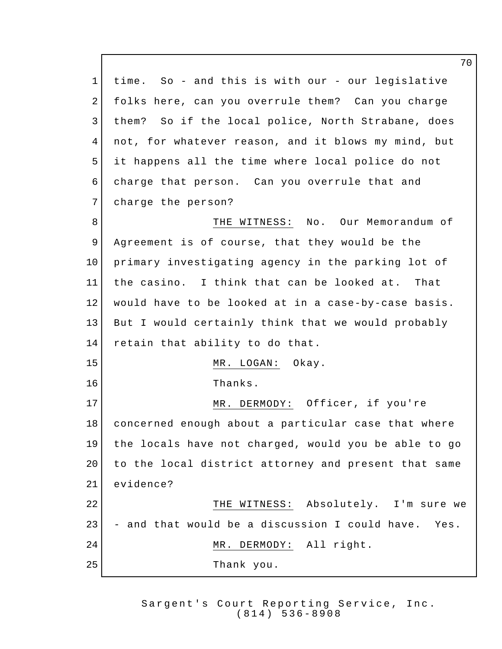time. So - and this is with our - our legislative folks here, can you overrule them? Can you charge 3 | them? So if the local police, North Strabane, does not, for whatever reason, and it blows my mind, but it happens all the time where local police do not charge that person. Can you overrule that and 7 charge the person? 8 Supersection of the WITNESS: No. Our Memorandum of 9 Agreement is of course, that they would be the primary investigating agency in the parking lot of the casino. I think that can be looked at. That would have to be looked at in a case-by-case basis. But I would certainly think that we would probably 14 retain that ability to do that. 15 MR. LOGAN: Okay. Thanks. 17 MR. DERMODY: Officer, if you're concerned enough about a particular case that where the locals have not charged, would you be able to go 20 to the local district attorney and present that same evidence? THE WITNESS: Absolutely. I'm sure we - and that would be a discussion I could have. Yes. 24 MR. DERMODY: All right. Thank you.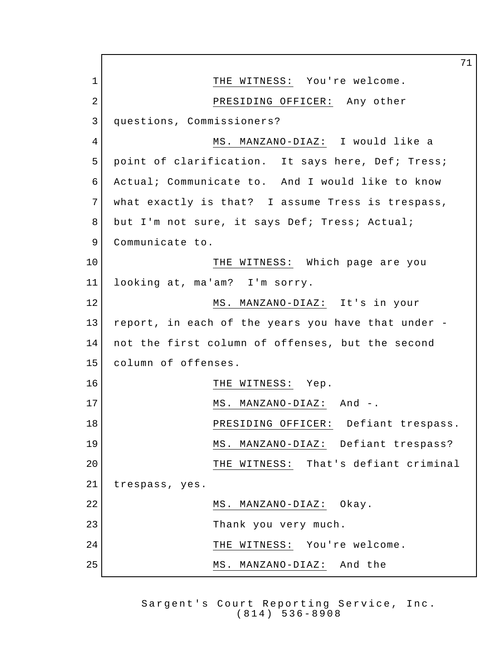71 1 THE WITNESS: You're welcome. 2 PRESIDING OFFICER: Any other 3 questions, Commissioners? 4 MS. MANZANO-DIAZ: I would like a 5 point of clarification. It says here, Def; Tress; 6 Actual; Communicate to. And I would like to know 7 what exactly is that? I assume Tress is trespass, 8 but I'm not sure, it says Def; Tress; Actual; 9 Communicate to. 10 THE WITNESS: Which page are you 11 looking at, ma'am? I'm sorry. 12 MS. MANZANO-DIAZ: It's in your 13 report, in each of the years you have that under - 14 not the first column of offenses, but the second 15 column of offenses. 16 THE WITNESS: Yep. 17 MS. MANZANO-DIAZ: And -. 18 PRESIDING OFFICER: Defiant trespass. 19 | MS. MANZANO-DIAZ: Defiant trespass? 20 THE WITNESS: That's defiant criminal 21 trespass, yes. 22 MS. MANZANO-DIAZ: Okay. 23 Thank you very much. 24 | THE WITNESS: You're welcome. 25 MS. MANZANO-DIAZ: And the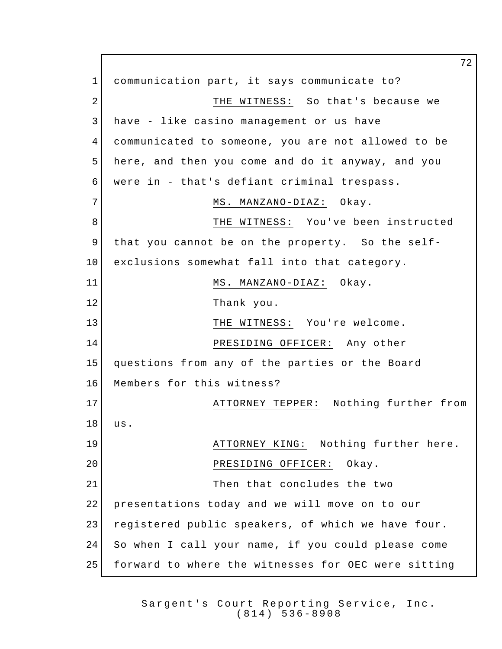communication part, it says communicate to? 2 THE WITNESS: So that's because we have - like casino management or us have communicated to someone, you are not allowed to be here, and then you come and do it anyway, and you were in - that's defiant criminal trespass. 7 MS. MANZANO-DIAZ: Okay. 8 | THE WITNESS: You've been instructed that you cannot be on the property. So the self- exclusions somewhat fall into that category. 11 MS. MANZANO-DIAZ: Okay. Thank you. 13 THE WITNESS: You're welcome. 14 PRESIDING OFFICER: Any other questions from any of the parties or the Board Members for this witness? **ATTORNEY TEPPER:** Nothing further from us. 19 | ATTORNEY KING: Nothing further here. 20 PRESIDING OFFICER: Okay. **Then** that concludes the two presentations today and we will move on to our registered public speakers, of which we have four. So when I call your name, if you could please come forward to where the witnesses for OEC were sitting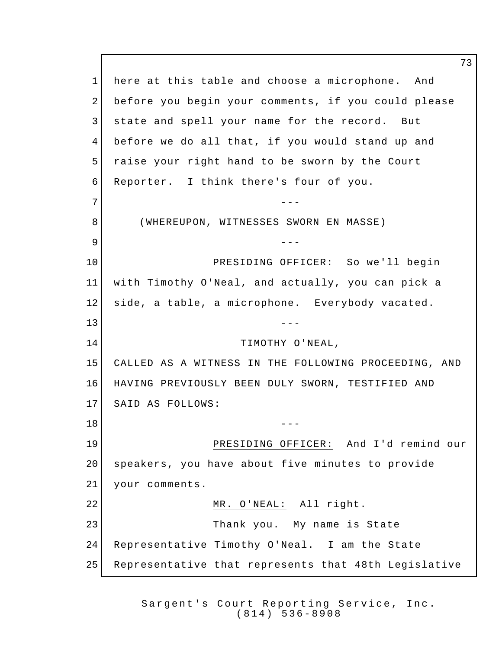1 here at this table and choose a microphone. And before you begin your comments, if you could please state and spell your name for the record. But before we do all that, if you would stand up and raise your right hand to be sworn by the Court Reporter. I think there's four of you. --- (WHEREUPON, WITNESSES SWORN EN MASSE) --- PRESIDING OFFICER: So we'll begin with Timothy O'Neal, and actually, you can pick a side, a table, a microphone. Everybody vacated. ---14 TIMOTHY O'NEAL, CALLED AS A WITNESS IN THE FOLLOWING PROCEEDING, AND HAVING PREVIOUSLY BEEN DULY SWORN, TESTIFIED AND SAID AS FOLLOWS:  $18 \begin{array}{ccc} & & & & \text{---} \end{array}$  PRESIDING OFFICER: And I'd remind our speakers, you have about five minutes to provide your comments. 22 MR. O'NEAL: All right. Thank you. My name is State Representative Timothy O'Neal. I am the State Representative that represents that 48th Legislative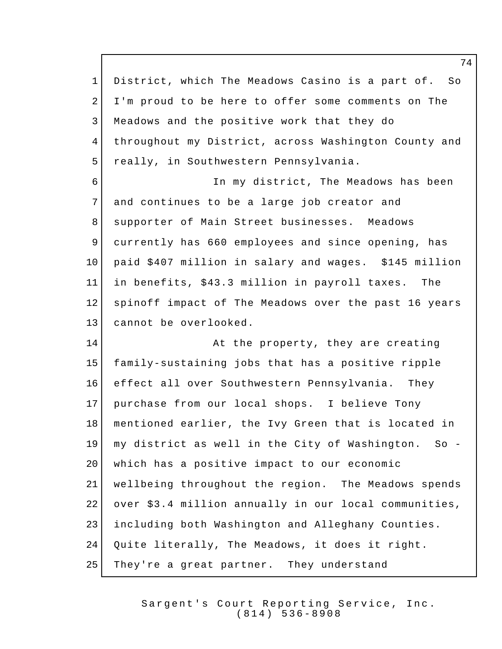District, which The Meadows Casino is a part of. So I'm proud to be here to offer some comments on The Meadows and the positive work that they do throughout my District, across Washington County and 5 really, in Southwestern Pennsylvania. 6 In my district, The Meadows has been 7 and continues to be a large job creator and 8 Supporter of Main Street businesses. Meadows currently has 660 employees and since opening, has paid \$407 million in salary and wages. \$145 million in benefits, \$43.3 million in payroll taxes. The spinoff impact of The Meadows over the past 16 years cannot be overlooked. 14 At the property, they are creating family-sustaining jobs that has a positive ripple effect all over Southwestern Pennsylvania. They purchase from our local shops. I believe Tony mentioned earlier, the Ivy Green that is located in my district as well in the City of Washington. So - 20 | which has a positive impact to our economic wellbeing throughout the region. The Meadows spends over \$3.4 million annually in our local communities, including both Washington and Alleghany Counties. Quite literally, The Meadows, it does it right. 25 | They're a great partner. They understand

> Sargent's Court Reporting Service, Inc. (814) 536 - 8908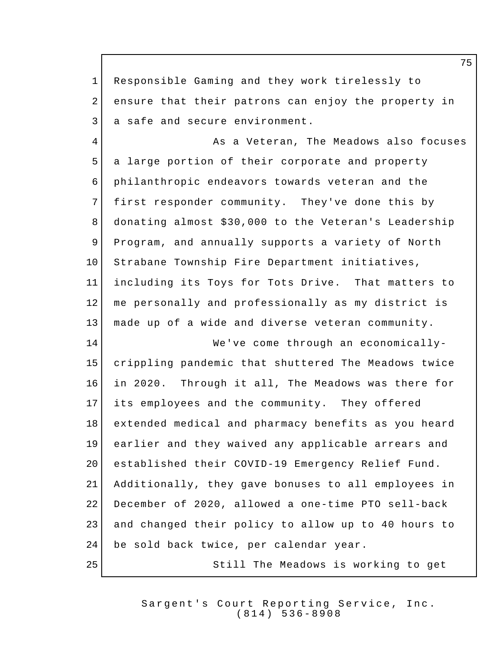Responsible Gaming and they work tirelessly to 2 ensure that their patrons can enjoy the property in 3 a safe and secure environment. 4 As a Veteran, The Meadows also focuses a large portion of their corporate and property philanthropic endeavors towards veteran and the 7 first responder community. They've done this by donating almost \$30,000 to the Veteran's Leadership Program, and annually supports a variety of North 10 Strabane Township Fire Department initiatives, including its Toys for Tots Drive. That matters to me personally and professionally as my district is made up of a wide and diverse veteran community. We've come through an economically- crippling pandemic that shuttered The Meadows twice in 2020. Through it all, The Meadows was there for its employees and the community. They offered extended medical and pharmacy benefits as you heard earlier and they waived any applicable arrears and established their COVID-19 Emergency Relief Fund. Additionally, they gave bonuses to all employees in December of 2020, allowed a one-time PTO sell-back and changed their policy to allow up to 40 hours to 24 be sold back twice, per calendar year. Still The Meadows is working to get

> Sargent's Court Reporting Service, Inc. (814) 536 - 8908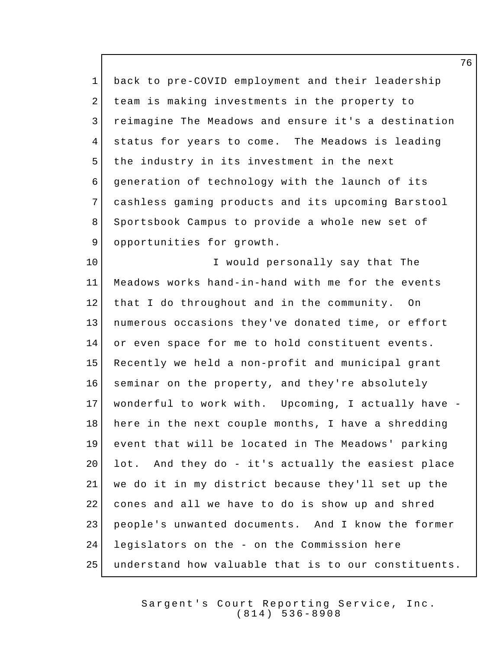back to pre-COVID employment and their leadership team is making investments in the property to reimagine The Meadows and ensure it's a destination status for years to come. The Meadows is leading 5 the industry in its investment in the next generation of technology with the launch of its cashless gaming products and its upcoming Barstool 8 Sportsbook Campus to provide a whole new set of 9 opportunities for growth. I would personally say that The Meadows works hand-in-hand with me for the events 12 that I do throughout and in the community. On numerous occasions they've donated time, or effort 14 or even space for me to hold constituent events. Recently we held a non-profit and municipal grant seminar on the property, and they're absolutely wonderful to work with. Upcoming, I actually have - here in the next couple months, I have a shredding event that will be located in The Meadows' parking 20 lot. And they do - it's actually the easiest place we do it in my district because they'll set up the cones and all we have to do is show up and shred people's unwanted documents. And I know the former legislators on the - on the Commission here understand how valuable that is to our constituents.

> Sargent's Court Reporting Service, Inc. (814) 536 - 8908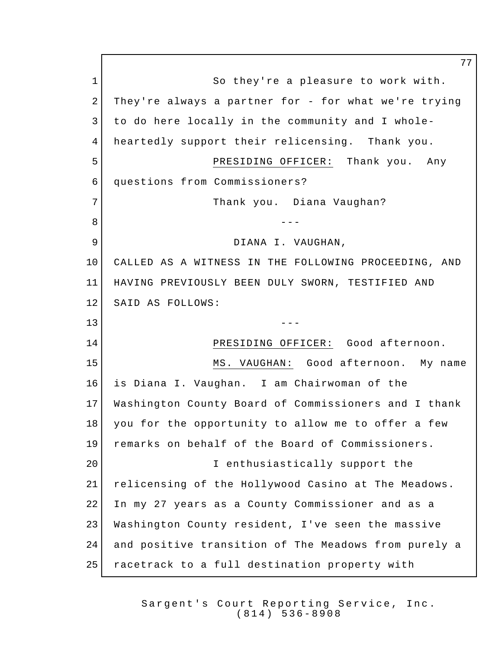1 So they're a pleasure to work with. 2 They're always a partner for - for what we're trying 3 to do here locally in the community and I whole- heartedly support their relicensing. Thank you. PRESIDING OFFICER: Thank you. Any questions from Commissioners? 7 Thank you. Diana Vaughan? --- 9 DIANA I. VAUGHAN, CALLED AS A WITNESS IN THE FOLLOWING PROCEEDING, AND HAVING PREVIOUSLY BEEN DULY SWORN, TESTIFIED AND 12 SAID AS FOLLOWS: --- PRESIDING OFFICER: Good afternoon. MS. VAUGHAN: Good afternoon. My name is Diana I. Vaughan. I am Chairwoman of the Washington County Board of Commissioners and I thank you for the opportunity to allow me to offer a few remarks on behalf of the Board of Commissioners. 20 | T enthusiastically support the relicensing of the Hollywood Casino at The Meadows. In my 27 years as a County Commissioner and as a Washington County resident, I've seen the massive and positive transition of The Meadows from purely a 25 | racetrack to a full destination property with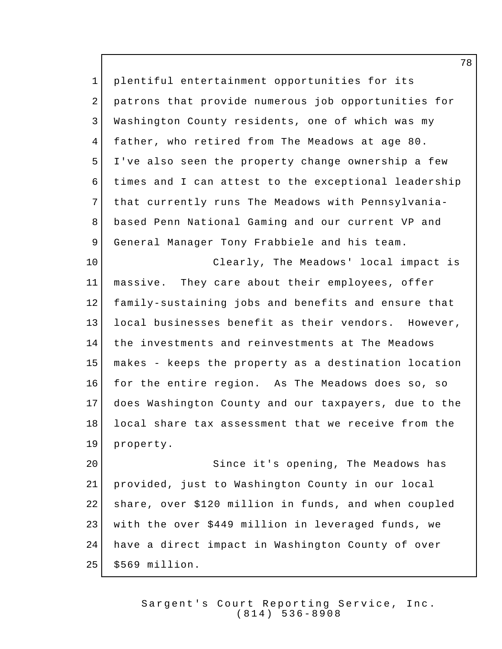plentiful entertainment opportunities for its patrons that provide numerous job opportunities for Washington County residents, one of which was my father, who retired from The Meadows at age 80. I've also seen the property change ownership a few times and I can attest to the exceptional leadership that currently runs The Meadows with Pennsylvania-8 | based Penn National Gaming and our current VP and 9 General Manager Tony Frabbiele and his team. Clearly, The Meadows' local impact is massive. They care about their employees, offer family-sustaining jobs and benefits and ensure that local businesses benefit as their vendors. However, the investments and reinvestments at The Meadows makes - keeps the property as a destination location for the entire region. As The Meadows does so, so does Washington County and our taxpayers, due to the local share tax assessment that we receive from the property. 20 Since it's opening, The Meadows has provided, just to Washington County in our local share, over \$120 million in funds, and when coupled

 have a direct impact in Washington County of over 25 | \$569 million.

with the over \$449 million in leveraged funds, we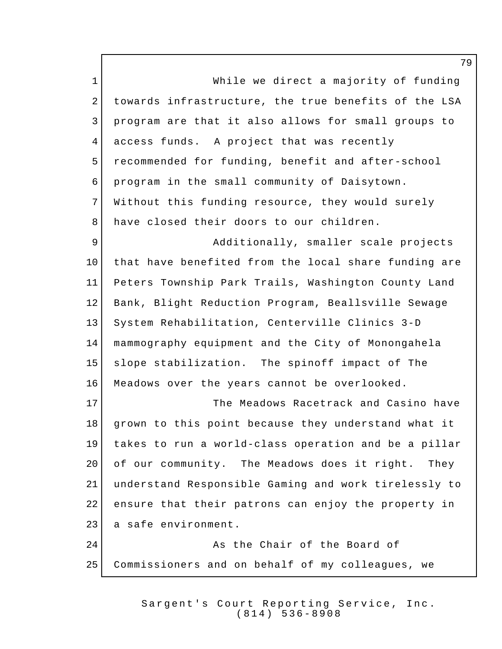1 While we direct a majority of funding towards infrastructure, the true benefits of the LSA program are that it also allows for small groups to access funds. A project that was recently recommended for funding, benefit and after-school program in the small community of Daisytown. 7 Without this funding resource, they would surely 8 have closed their doors to our children. 9 Additionally, smaller scale projects that have benefited from the local share funding are Peters Township Park Trails, Washington County Land Bank, Blight Reduction Program, Beallsville Sewage System Rehabilitation, Centerville Clinics 3-D mammography equipment and the City of Monongahela slope stabilization. The spinoff impact of The Meadows over the years cannot be overlooked. 17 | The Meadows Racetrack and Casino have grown to this point because they understand what it takes to run a world-class operation and be a pillar of our community. The Meadows does it right. They understand Responsible Gaming and work tirelessly to ensure that their patrons can enjoy the property in 23 a safe environment. 24 As the Chair of the Board of Commissioners and on behalf of my colleagues, we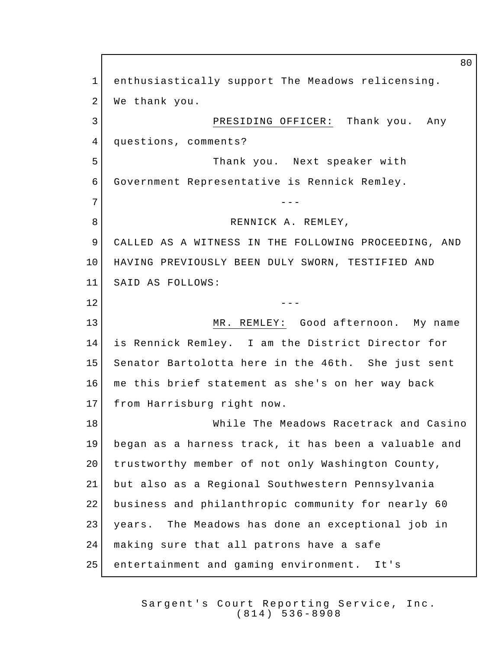enthusiastically support The Meadows relicensing. 2 We thank you. PRESIDING OFFICER: Thank you. Any 4 questions, comments? Thank you. Next speaker with Government Representative is Rennick Remley. --- 8 RENNICK A. REMLEY, CALLED AS A WITNESS IN THE FOLLOWING PROCEEDING, AND HAVING PREVIOUSLY BEEN DULY SWORN, TESTIFIED AND SAID AS FOLLOWS:  $---$  MR. REMLEY: Good afternoon. My name is Rennick Remley. I am the District Director for Senator Bartolotta here in the 46th. She just sent me this brief statement as she's on her way back from Harrisburg right now. 18 While The Meadows Racetrack and Casino began as a harness track, it has been a valuable and 20 trustworthy member of not only Washington County, but also as a Regional Southwestern Pennsylvania business and philanthropic community for nearly 60 years. The Meadows has done an exceptional job in 24 | making sure that all patrons have a safe entertainment and gaming environment. It's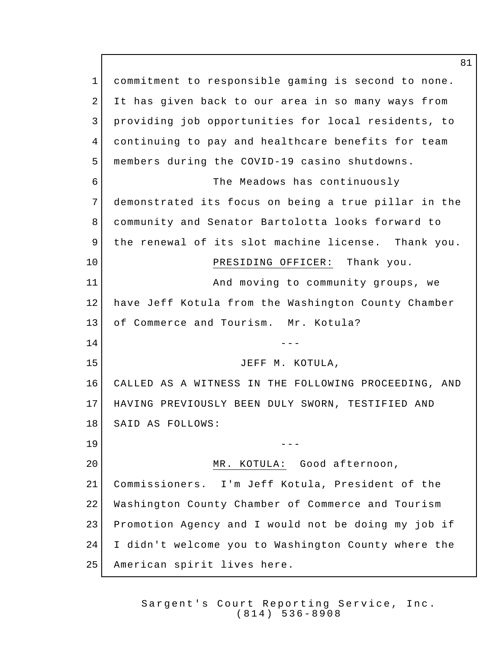commitment to responsible gaming is second to none. It has given back to our area in so many ways from providing job opportunities for local residents, to continuing to pay and healthcare benefits for team members during the COVID-19 casino shutdowns. The Meadows has continuously demonstrated its focus on being a true pillar in the community and Senator Bartolotta looks forward to the renewal of its slot machine license. Thank you. 10 PRESIDING OFFICER: Thank you. 11 and moving to community groups, we have Jeff Kotula from the Washington County Chamber 13 of Commerce and Tourism. Mr. Kotula?  $---$  JEFF M. KOTULA, CALLED AS A WITNESS IN THE FOLLOWING PROCEEDING, AND HAVING PREVIOUSLY BEEN DULY SWORN, TESTIFIED AND SAID AS FOLLOWS: --- MR. KOTULA: Good afternoon, Commissioners. I'm Jeff Kotula, President of the Washington County Chamber of Commerce and Tourism Promotion Agency and I would not be doing my job if I didn't welcome you to Washington County where the American spirit lives here.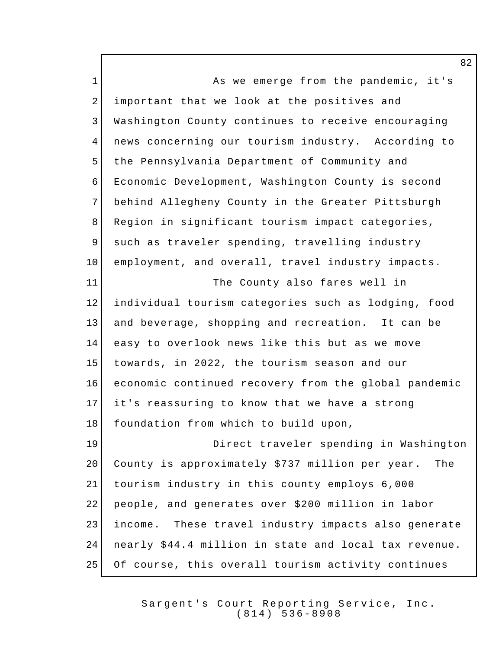1 As we emerge from the pandemic, it's important that we look at the positives and Washington County continues to receive encouraging news concerning our tourism industry. According to the Pennsylvania Department of Community and Economic Development, Washington County is second behind Allegheny County in the Greater Pittsburgh 8 Region in significant tourism impact categories, 9 such as traveler spending, travelling industry employment, and overall, travel industry impacts. The County also fares well in individual tourism categories such as lodging, food and beverage, shopping and recreation. It can be easy to overlook news like this but as we move towards, in 2022, the tourism season and our economic continued recovery from the global pandemic it's reassuring to know that we have a strong 18 foundation from which to build upon, Direct traveler spending in Washington County is approximately \$737 million per year. The tourism industry in this county employs 6,000 people, and generates over \$200 million in labor income. These travel industry impacts also generate nearly \$44.4 million in state and local tax revenue. Of course, this overall tourism activity continues

> Sargent's Court Reporting Service, Inc. (814) 536 - 8908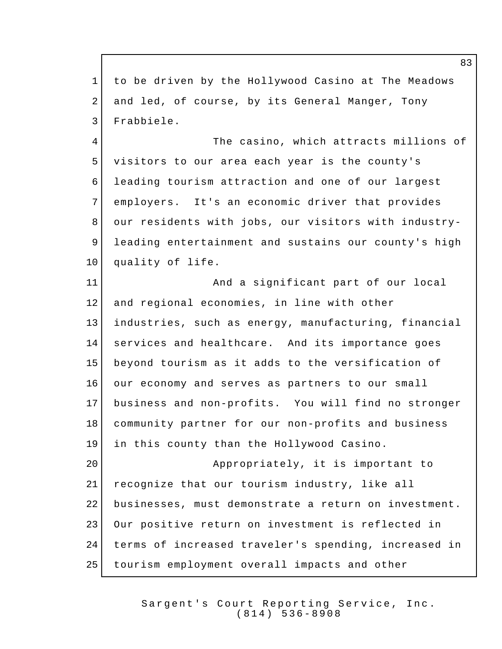to be driven by the Hollywood Casino at The Meadows and led, of course, by its General Manger, Tony Frabbiele. The casino, which attracts millions of visitors to our area each year is the county's leading tourism attraction and one of our largest 7 employers. It's an economic driver that provides 8 our residents with jobs, our visitors with industry- leading entertainment and sustains our county's high 10 quality of life. 11 | And a significant part of our local 12 and regional economies, in line with other industries, such as energy, manufacturing, financial services and healthcare. And its importance goes beyond tourism as it adds to the versification of our economy and serves as partners to our small business and non-profits. You will find no stronger community partner for our non-profits and business in this county than the Hollywood Casino. **Appropriately**, it is important to recognize that our tourism industry, like all businesses, must demonstrate a return on investment. Our positive return on investment is reflected in terms of increased traveler's spending, increased in tourism employment overall impacts and other

> Sargent's Court Reporting Service, Inc. (814) 536 - 8908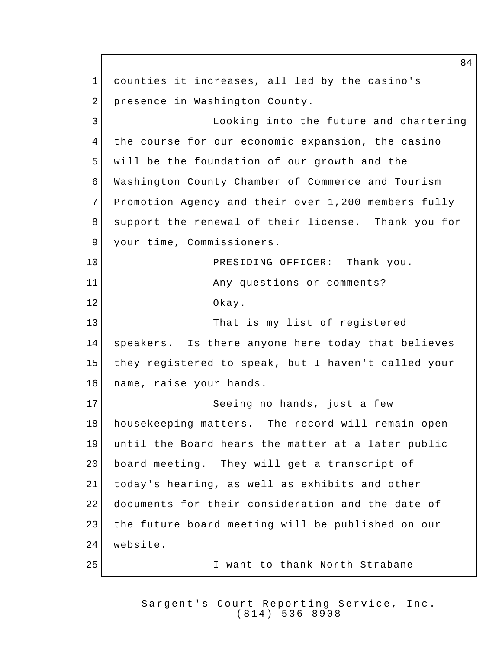counties it increases, all led by the casino's 2 presence in Washington County. Looking into the future and chartering the course for our economic expansion, the casino 5 will be the foundation of our growth and the Washington County Chamber of Commerce and Tourism Promotion Agency and their over 1,200 members fully support the renewal of their license. Thank you for 9 your time, Commissioners. 10 PRESIDING OFFICER: Thank you. 11 Any questions or comments? Okay. 13 That is my list of registered speakers. Is there anyone here today that believes they registered to speak, but I haven't called your name, raise your hands. 17 | Seeing no hands, just a few housekeeping matters. The record will remain open until the Board hears the matter at a later public 20 board meeting. They will get a transcript of today's hearing, as well as exhibits and other documents for their consideration and the date of 23 | the future board meeting will be published on our website. I want to thank North Strabane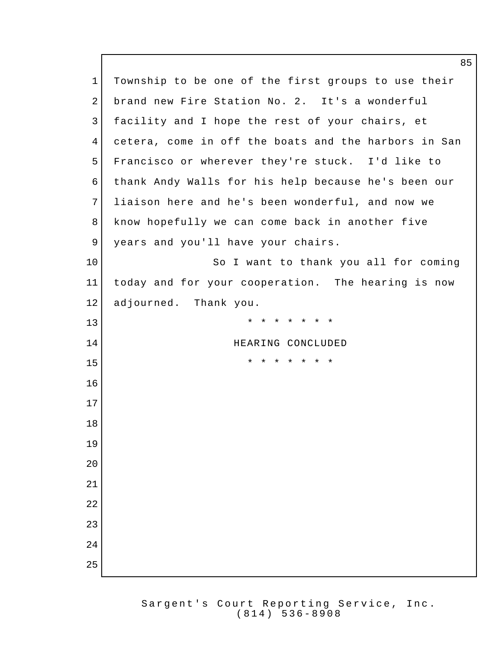1 Township to be one of the first groups to use their brand new Fire Station No. 2. It's a wonderful 3 facility and I hope the rest of your chairs, et cetera, come in off the boats and the harbors in San Francisco or wherever they're stuck. I'd like to thank Andy Walls for his help because he's been our liaison here and he's been wonderful, and now we know hopefully we can come back in another five 9 years and you'll have your chairs. 10 So I want to thank you all for coming today and for your cooperation. The hearing is now adjourned. Thank you. \* \* \* \* \* \* \* 14 HEARING CONCLUDED \* \* \* \* \* \* \*